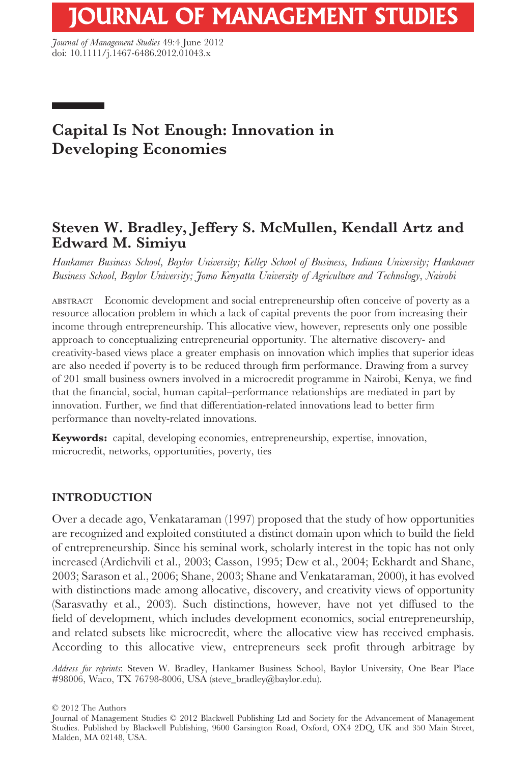*Journal of Management Studies* 49:4 June 2012 doi: 10.1111/j.1467-6486.2012.01043.x

# **Capital Is Not Enough: Innovation in Developing Economies**

# **Steven W. Bradley, Jeffery S. McMullen, Kendall Artz and Edward M. Simiyu**

*Hankamer Business School, Baylor University; Kelley School of Business, Indiana University; Hankamer Business School, Baylor University; Jomo Kenyatta University of Agriculture and Technology, Nairobi*

abstract Economic development and social entrepreneurship often conceive of poverty as a resource allocation problem in which a lack of capital prevents the poor from increasing their income through entrepreneurship. This allocative view, however, represents only one possible approach to conceptualizing entrepreneurial opportunity. The alternative discovery- and creativity-based views place a greater emphasis on innovation which implies that superior ideas are also needed if poverty is to be reduced through firm performance. Drawing from a survey of 201 small business owners involved in a microcredit programme in Nairobi, Kenya, we find that the financial, social, human capital–performance relationships are mediated in part by innovation. Further, we find that differentiation-related innovations lead to better firm performance than novelty-related innovations.

**Keywords:** capital, developing economies, entrepreneurship, expertise, innovation, microcredit, networks, opportunities, poverty, ties

# **INTRODUCTION**

Over a decade ago, Venkataraman (1997) proposed that the study of how opportunities are recognized and exploited constituted a distinct domain upon which to build the field of entrepreneurship. Since his seminal work, scholarly interest in the topic has not only increased (Ardichvili et al., 2003; Casson, 1995; Dew et al., 2004; Eckhardt and Shane, 2003; Sarason et al., 2006; Shane, 2003; Shane and Venkataraman, 2000), it has evolved with distinctions made among allocative, discovery, and creativity views of opportunity (Sarasvathy et al., 2003). Such distinctions, however, have not yet diffused to the field of development, which includes development economics, social entrepreneurship, and related subsets like microcredit, where the allocative view has received emphasis. According to this allocative view, entrepreneurs seek profit through arbitrage by

*Address for reprints*: Steven W. Bradley, Hankamer Business School, Baylor University, One Bear Place #98006, Waco, TX 76798-8006, USA (steve\_bradley@baylor.edu).

<sup>© 2012</sup> The Authors

Journal of Management Studies © 2012 Blackwell Publishing Ltd and Society for the Advancement of Management Studies. Published by Blackwell Publishing, 9600 Garsington Road, Oxford, OX4 2DQ, UK and 350 Main Street, Malden, MA 02148, USA.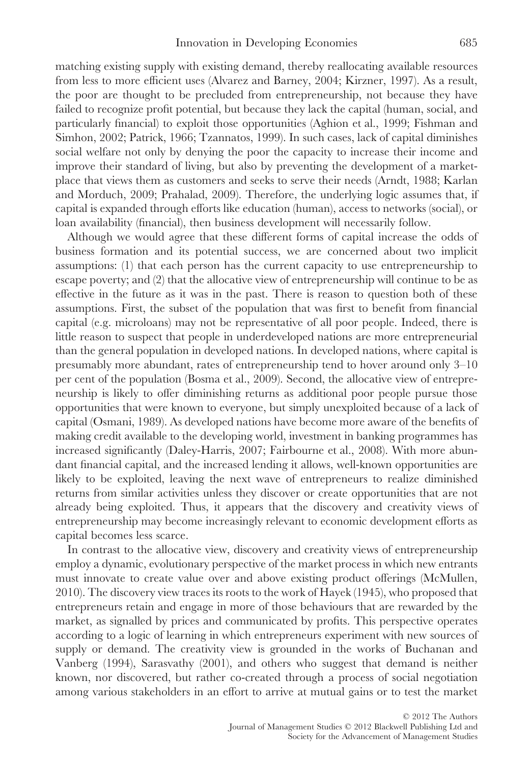matching existing supply with existing demand, thereby reallocating available resources from less to more efficient uses (Alvarez and Barney, 2004; Kirzner, 1997). As a result, the poor are thought to be precluded from entrepreneurship, not because they have failed to recognize profit potential, but because they lack the capital (human, social, and particularly financial) to exploit those opportunities (Aghion et al., 1999; Fishman and Simhon, 2002; Patrick, 1966; Tzannatos, 1999). In such cases, lack of capital diminishes social welfare not only by denying the poor the capacity to increase their income and improve their standard of living, but also by preventing the development of a marketplace that views them as customers and seeks to serve their needs (Arndt, 1988; Karlan and Morduch, 2009; Prahalad, 2009). Therefore, the underlying logic assumes that, if capital is expanded through efforts like education (human), access to networks (social), or loan availability (financial), then business development will necessarily follow.

Although we would agree that these different forms of capital increase the odds of business formation and its potential success, we are concerned about two implicit assumptions: (1) that each person has the current capacity to use entrepreneurship to escape poverty; and (2) that the allocative view of entrepreneurship will continue to be as effective in the future as it was in the past. There is reason to question both of these assumptions. First, the subset of the population that was first to benefit from financial capital (e.g. microloans) may not be representative of all poor people. Indeed, there is little reason to suspect that people in underdeveloped nations are more entrepreneurial than the general population in developed nations. In developed nations, where capital is presumably more abundant, rates of entrepreneurship tend to hover around only 3–10 per cent of the population (Bosma et al., 2009). Second, the allocative view of entrepreneurship is likely to offer diminishing returns as additional poor people pursue those opportunities that were known to everyone, but simply unexploited because of a lack of capital (Osmani, 1989). As developed nations have become more aware of the benefits of making credit available to the developing world, investment in banking programmes has increased significantly (Daley-Harris, 2007; Fairbourne et al., 2008). With more abundant financial capital, and the increased lending it allows, well-known opportunities are likely to be exploited, leaving the next wave of entrepreneurs to realize diminished returns from similar activities unless they discover or create opportunities that are not already being exploited. Thus, it appears that the discovery and creativity views of entrepreneurship may become increasingly relevant to economic development efforts as capital becomes less scarce.

In contrast to the allocative view, discovery and creativity views of entrepreneurship employ a dynamic, evolutionary perspective of the market process in which new entrants must innovate to create value over and above existing product offerings (McMullen, 2010). The discovery view traces its roots to the work of Hayek (1945), who proposed that entrepreneurs retain and engage in more of those behaviours that are rewarded by the market, as signalled by prices and communicated by profits. This perspective operates according to a logic of learning in which entrepreneurs experiment with new sources of supply or demand. The creativity view is grounded in the works of Buchanan and Vanberg (1994), Sarasvathy (2001), and others who suggest that demand is neither known, nor discovered, but rather co-created through a process of social negotiation among various stakeholders in an effort to arrive at mutual gains or to test the market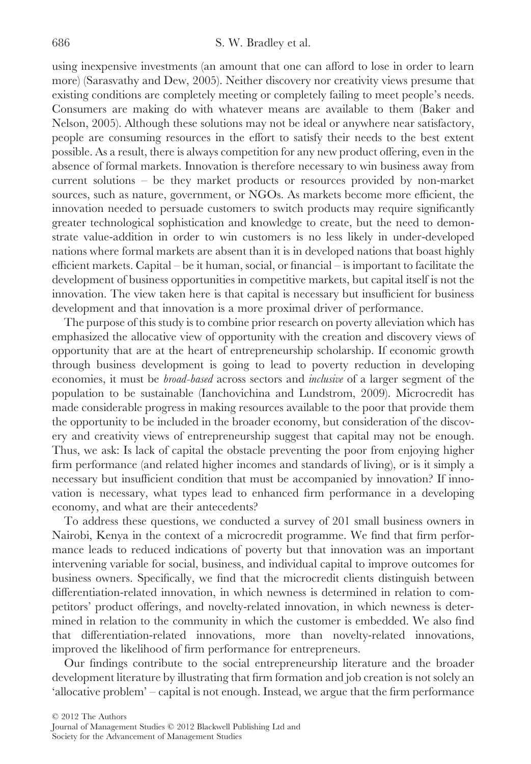using inexpensive investments (an amount that one can afford to lose in order to learn more) (Sarasvathy and Dew, 2005). Neither discovery nor creativity views presume that existing conditions are completely meeting or completely failing to meet people's needs. Consumers are making do with whatever means are available to them (Baker and Nelson, 2005). Although these solutions may not be ideal or anywhere near satisfactory, people are consuming resources in the effort to satisfy their needs to the best extent possible. As a result, there is always competition for any new product offering, even in the absence of formal markets. Innovation is therefore necessary to win business away from current solutions – be they market products or resources provided by non-market sources, such as nature, government, or NGOs. As markets become more efficient, the innovation needed to persuade customers to switch products may require significantly greater technological sophistication and knowledge to create, but the need to demonstrate value-addition in order to win customers is no less likely in under-developed nations where formal markets are absent than it is in developed nations that boast highly efficient markets. Capital – be it human, social, or financial – is important to facilitate the development of business opportunities in competitive markets, but capital itself is not the innovation. The view taken here is that capital is necessary but insufficient for business development and that innovation is a more proximal driver of performance.

The purpose of this study is to combine prior research on poverty alleviation which has emphasized the allocative view of opportunity with the creation and discovery views of opportunity that are at the heart of entrepreneurship scholarship. If economic growth through business development is going to lead to poverty reduction in developing economies, it must be *broad-based* across sectors and *inclusive* of a larger segment of the population to be sustainable (Ianchovichina and Lundstrom, 2009). Microcredit has made considerable progress in making resources available to the poor that provide them the opportunity to be included in the broader economy, but consideration of the discovery and creativity views of entrepreneurship suggest that capital may not be enough. Thus, we ask: Is lack of capital the obstacle preventing the poor from enjoying higher firm performance (and related higher incomes and standards of living), or is it simply a necessary but insufficient condition that must be accompanied by innovation? If innovation is necessary, what types lead to enhanced firm performance in a developing economy, and what are their antecedents?

To address these questions, we conducted a survey of 201 small business owners in Nairobi, Kenya in the context of a microcredit programme. We find that firm performance leads to reduced indications of poverty but that innovation was an important intervening variable for social, business, and individual capital to improve outcomes for business owners. Specifically, we find that the microcredit clients distinguish between differentiation-related innovation, in which newness is determined in relation to competitors' product offerings, and novelty-related innovation, in which newness is determined in relation to the community in which the customer is embedded. We also find that differentiation-related innovations, more than novelty-related innovations, improved the likelihood of firm performance for entrepreneurs.

Our findings contribute to the social entrepreneurship literature and the broader development literature by illustrating that firm formation and job creation is not solely an 'allocative problem' – capital is not enough. Instead, we argue that the firm performance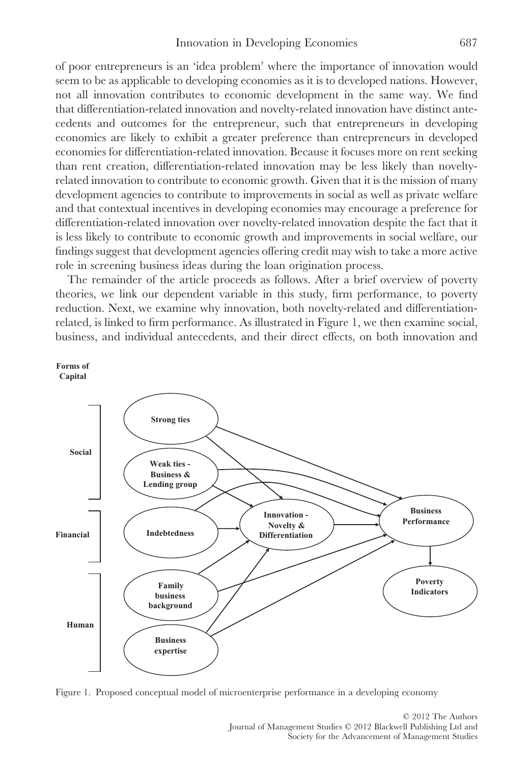of poor entrepreneurs is an 'idea problem' where the importance of innovation would seem to be as applicable to developing economies as it is to developed nations. However, not all innovation contributes to economic development in the same way. We find that differentiation-related innovation and novelty-related innovation have distinct antecedents and outcomes for the entrepreneur, such that entrepreneurs in developing economies are likely to exhibit a greater preference than entrepreneurs in developed economies for differentiation-related innovation. Because it focuses more on rent seeking than rent creation, differentiation-related innovation may be less likely than noveltyrelated innovation to contribute to economic growth. Given that it is the mission of many development agencies to contribute to improvements in social as well as private welfare and that contextual incentives in developing economies may encourage a preference for differentiation-related innovation over novelty-related innovation despite the fact that it is less likely to contribute to economic growth and improvements in social welfare, our findings suggest that development agencies offering credit may wish to take a more active role in screening business ideas during the loan origination process.

The remainder of the article proceeds as follows. After a brief overview of poverty theories, we link our dependent variable in this study, firm performance, to poverty reduction. Next, we examine why innovation, both novelty-related and differentiationrelated, is linked to firm performance. As illustrated in Figure 1, we then examine social, business, and individual antecedents, and their direct effects, on both innovation and



Figure 1. Proposed conceptual model of microenterprise performance in a developing economy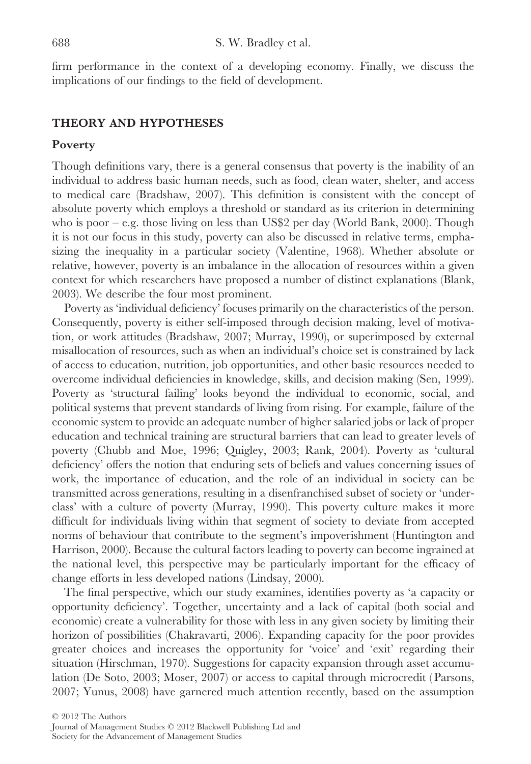firm performance in the context of a developing economy. Finally, we discuss the implications of our findings to the field of development.

# **THEORY AND HYPOTHESES**

#### **Poverty**

Though definitions vary, there is a general consensus that poverty is the inability of an individual to address basic human needs, such as food, clean water, shelter, and access to medical care (Bradshaw, 2007). This definition is consistent with the concept of absolute poverty which employs a threshold or standard as its criterion in determining who is poor – e.g. those living on less than US\$2 per day (World Bank, 2000). Though it is not our focus in this study, poverty can also be discussed in relative terms, emphasizing the inequality in a particular society (Valentine, 1968). Whether absolute or relative, however, poverty is an imbalance in the allocation of resources within a given context for which researchers have proposed a number of distinct explanations (Blank, 2003). We describe the four most prominent.

Poverty as 'individual deficiency' focuses primarily on the characteristics of the person. Consequently, poverty is either self-imposed through decision making, level of motivation, or work attitudes (Bradshaw, 2007; Murray, 1990), or superimposed by external misallocation of resources, such as when an individual's choice set is constrained by lack of access to education, nutrition, job opportunities, and other basic resources needed to overcome individual deficiencies in knowledge, skills, and decision making (Sen, 1999). Poverty as 'structural failing' looks beyond the individual to economic, social, and political systems that prevent standards of living from rising. For example, failure of the economic system to provide an adequate number of higher salaried jobs or lack of proper education and technical training are structural barriers that can lead to greater levels of poverty (Chubb and Moe, 1996; Quigley, 2003; Rank, 2004). Poverty as 'cultural deficiency' offers the notion that enduring sets of beliefs and values concerning issues of work, the importance of education, and the role of an individual in society can be transmitted across generations, resulting in a disenfranchised subset of society or 'underclass' with a culture of poverty (Murray, 1990). This poverty culture makes it more difficult for individuals living within that segment of society to deviate from accepted norms of behaviour that contribute to the segment's impoverishment (Huntington and Harrison, 2000). Because the cultural factors leading to poverty can become ingrained at the national level, this perspective may be particularly important for the efficacy of change efforts in less developed nations (Lindsay, 2000).

The final perspective, which our study examines, identifies poverty as 'a capacity or opportunity deficiency'. Together, uncertainty and a lack of capital (both social and economic) create a vulnerability for those with less in any given society by limiting their horizon of possibilities (Chakravarti, 2006). Expanding capacity for the poor provides greater choices and increases the opportunity for 'voice' and 'exit' regarding their situation (Hirschman, 1970). Suggestions for capacity expansion through asset accumulation (De Soto, 2003; Moser, 2007) or access to capital through microcredit ( Parsons, 2007; Yunus, 2008) have garnered much attention recently, based on the assumption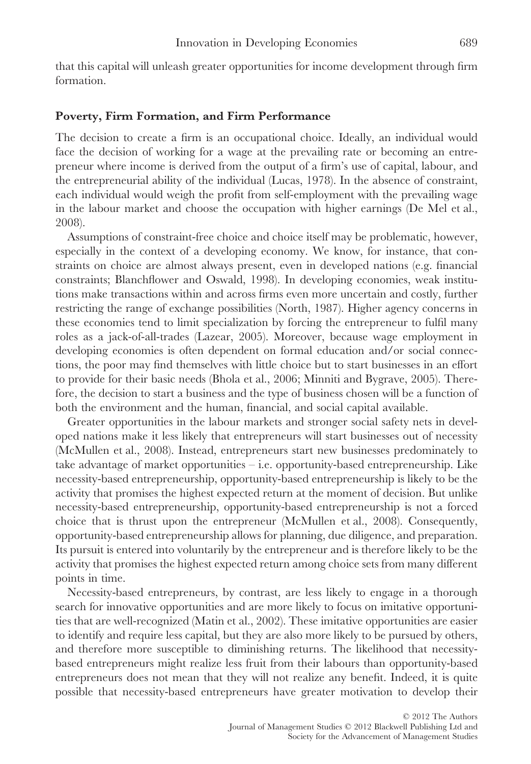that this capital will unleash greater opportunities for income development through firm formation.

### **Poverty, Firm Formation, and Firm Performance**

The decision to create a firm is an occupational choice. Ideally, an individual would face the decision of working for a wage at the prevailing rate or becoming an entrepreneur where income is derived from the output of a firm's use of capital, labour, and the entrepreneurial ability of the individual (Lucas, 1978). In the absence of constraint, each individual would weigh the profit from self-employment with the prevailing wage in the labour market and choose the occupation with higher earnings (De Mel et al., 2008).

Assumptions of constraint-free choice and choice itself may be problematic, however, especially in the context of a developing economy. We know, for instance, that constraints on choice are almost always present, even in developed nations (e.g. financial constraints; Blanchflower and Oswald, 1998). In developing economies, weak institutions make transactions within and across firms even more uncertain and costly, further restricting the range of exchange possibilities (North, 1987). Higher agency concerns in these economies tend to limit specialization by forcing the entrepreneur to fulfil many roles as a jack-of-all-trades (Lazear, 2005). Moreover, because wage employment in developing economies is often dependent on formal education and/or social connections, the poor may find themselves with little choice but to start businesses in an effort to provide for their basic needs (Bhola et al., 2006; Minniti and Bygrave, 2005). Therefore, the decision to start a business and the type of business chosen will be a function of both the environment and the human, financial, and social capital available.

Greater opportunities in the labour markets and stronger social safety nets in developed nations make it less likely that entrepreneurs will start businesses out of necessity (McMullen et al., 2008). Instead, entrepreneurs start new businesses predominately to take advantage of market opportunities – i.e. opportunity-based entrepreneurship. Like necessity-based entrepreneurship, opportunity-based entrepreneurship is likely to be the activity that promises the highest expected return at the moment of decision. But unlike necessity-based entrepreneurship, opportunity-based entrepreneurship is not a forced choice that is thrust upon the entrepreneur (McMullen et al., 2008). Consequently, opportunity-based entrepreneurship allows for planning, due diligence, and preparation. Its pursuit is entered into voluntarily by the entrepreneur and is therefore likely to be the activity that promises the highest expected return among choice sets from many different points in time.

Necessity-based entrepreneurs, by contrast, are less likely to engage in a thorough search for innovative opportunities and are more likely to focus on imitative opportunities that are well-recognized (Matin et al., 2002). These imitative opportunities are easier to identify and require less capital, but they are also more likely to be pursued by others, and therefore more susceptible to diminishing returns. The likelihood that necessitybased entrepreneurs might realize less fruit from their labours than opportunity-based entrepreneurs does not mean that they will not realize any benefit. Indeed, it is quite possible that necessity-based entrepreneurs have greater motivation to develop their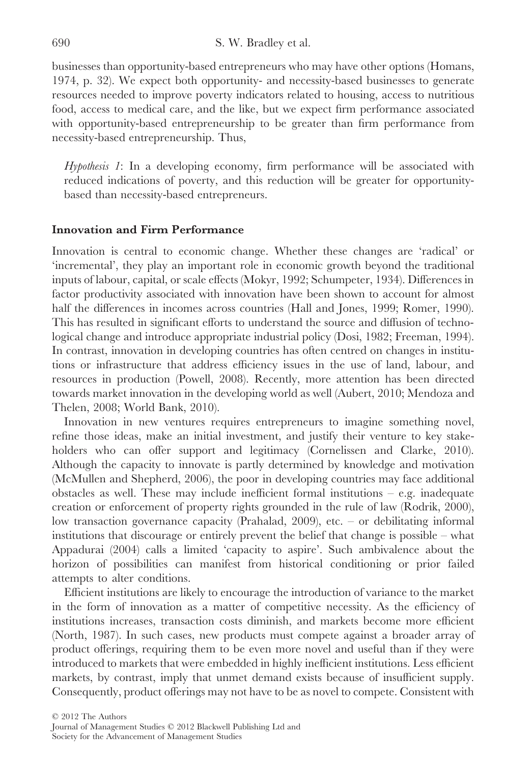businesses than opportunity-based entrepreneurs who may have other options (Homans, 1974, p. 32). We expect both opportunity- and necessity-based businesses to generate resources needed to improve poverty indicators related to housing, access to nutritious food, access to medical care, and the like, but we expect firm performance associated with opportunity-based entrepreneurship to be greater than firm performance from necessity-based entrepreneurship. Thus,

*Hypothesis 1*: In a developing economy, firm performance will be associated with reduced indications of poverty, and this reduction will be greater for opportunitybased than necessity-based entrepreneurs.

# **Innovation and Firm Performance**

Innovation is central to economic change. Whether these changes are 'radical' or 'incremental', they play an important role in economic growth beyond the traditional inputs of labour, capital, or scale effects (Mokyr, 1992; Schumpeter, 1934). Differences in factor productivity associated with innovation have been shown to account for almost half the differences in incomes across countries (Hall and Jones, 1999; Romer, 1990). This has resulted in significant efforts to understand the source and diffusion of technological change and introduce appropriate industrial policy (Dosi, 1982; Freeman, 1994). In contrast, innovation in developing countries has often centred on changes in institutions or infrastructure that address efficiency issues in the use of land, labour, and resources in production (Powell, 2008). Recently, more attention has been directed towards market innovation in the developing world as well (Aubert, 2010; Mendoza and Thelen, 2008; World Bank, 2010).

Innovation in new ventures requires entrepreneurs to imagine something novel, refine those ideas, make an initial investment, and justify their venture to key stakeholders who can offer support and legitimacy (Cornelissen and Clarke, 2010). Although the capacity to innovate is partly determined by knowledge and motivation (McMullen and Shepherd, 2006), the poor in developing countries may face additional obstacles as well. These may include inefficient formal institutions  $-$  e.g. inadequate creation or enforcement of property rights grounded in the rule of law (Rodrik, 2000), low transaction governance capacity (Prahalad, 2009), etc. – or debilitating informal institutions that discourage or entirely prevent the belief that change is possible – what Appadurai (2004) calls a limited 'capacity to aspire'. Such ambivalence about the horizon of possibilities can manifest from historical conditioning or prior failed attempts to alter conditions.

Efficient institutions are likely to encourage the introduction of variance to the market in the form of innovation as a matter of competitive necessity. As the efficiency of institutions increases, transaction costs diminish, and markets become more efficient (North, 1987). In such cases, new products must compete against a broader array of product offerings, requiring them to be even more novel and useful than if they were introduced to markets that were embedded in highly inefficient institutions. Less efficient markets, by contrast, imply that unmet demand exists because of insufficient supply. Consequently, product offerings may not have to be as novel to compete. Consistent with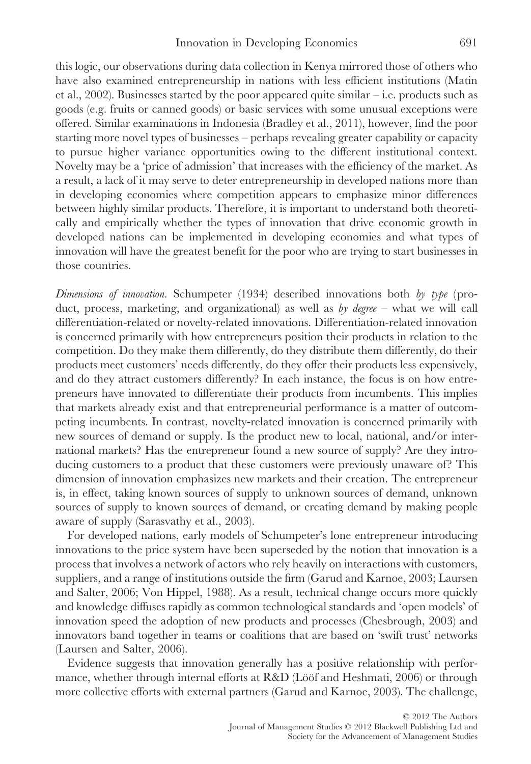this logic, our observations during data collection in Kenya mirrored those of others who have also examined entrepreneurship in nations with less efficient institutions (Matin et al., 2002). Businesses started by the poor appeared quite similar – i.e. products such as goods (e.g. fruits or canned goods) or basic services with some unusual exceptions were offered. Similar examinations in Indonesia (Bradley et al., 2011), however, find the poor starting more novel types of businesses – perhaps revealing greater capability or capacity to pursue higher variance opportunities owing to the different institutional context. Novelty may be a 'price of admission' that increases with the efficiency of the market. As a result, a lack of it may serve to deter entrepreneurship in developed nations more than in developing economies where competition appears to emphasize minor differences between highly similar products. Therefore, it is important to understand both theoretically and empirically whether the types of innovation that drive economic growth in developed nations can be implemented in developing economies and what types of innovation will have the greatest benefit for the poor who are trying to start businesses in those countries.

*Dimensions of innovation.* Schumpeter (1934) described innovations both *by type* (product, process, marketing, and organizational) as well as *by degree* – what we will call differentiation-related or novelty-related innovations. Differentiation-related innovation is concerned primarily with how entrepreneurs position their products in relation to the competition. Do they make them differently, do they distribute them differently, do their products meet customers' needs differently, do they offer their products less expensively, and do they attract customers differently? In each instance, the focus is on how entrepreneurs have innovated to differentiate their products from incumbents. This implies that markets already exist and that entrepreneurial performance is a matter of outcompeting incumbents. In contrast, novelty-related innovation is concerned primarily with new sources of demand or supply. Is the product new to local, national, and/or international markets? Has the entrepreneur found a new source of supply? Are they introducing customers to a product that these customers were previously unaware of? This dimension of innovation emphasizes new markets and their creation. The entrepreneur is, in effect, taking known sources of supply to unknown sources of demand, unknown sources of supply to known sources of demand, or creating demand by making people aware of supply (Sarasvathy et al., 2003).

For developed nations, early models of Schumpeter's lone entrepreneur introducing innovations to the price system have been superseded by the notion that innovation is a process that involves a network of actors who rely heavily on interactions with customers, suppliers, and a range of institutions outside the firm (Garud and Karnoe, 2003; Laursen and Salter, 2006; Von Hippel, 1988). As a result, technical change occurs more quickly and knowledge diffuses rapidly as common technological standards and 'open models' of innovation speed the adoption of new products and processes (Chesbrough, 2003) and innovators band together in teams or coalitions that are based on 'swift trust' networks (Laursen and Salter, 2006).

Evidence suggests that innovation generally has a positive relationship with performance, whether through internal efforts at R&D (Lööf and Heshmati, 2006) or through more collective efforts with external partners (Garud and Karnoe, 2003). The challenge,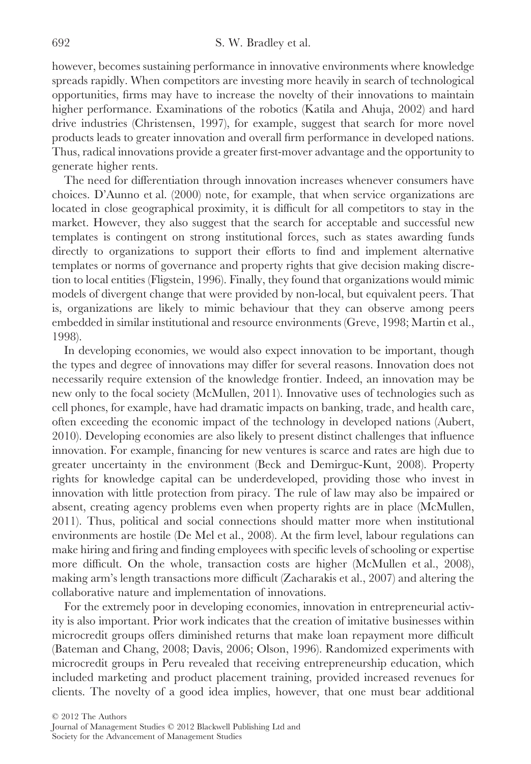however, becomes sustaining performance in innovative environments where knowledge spreads rapidly. When competitors are investing more heavily in search of technological opportunities, firms may have to increase the novelty of their innovations to maintain higher performance. Examinations of the robotics (Katila and Ahuja, 2002) and hard drive industries (Christensen, 1997), for example, suggest that search for more novel products leads to greater innovation and overall firm performance in developed nations. Thus, radical innovations provide a greater first-mover advantage and the opportunity to generate higher rents.

The need for differentiation through innovation increases whenever consumers have choices. D'Aunno et al. (2000) note, for example, that when service organizations are located in close geographical proximity, it is difficult for all competitors to stay in the market. However, they also suggest that the search for acceptable and successful new templates is contingent on strong institutional forces, such as states awarding funds directly to organizations to support their efforts to find and implement alternative templates or norms of governance and property rights that give decision making discretion to local entities (Fligstein, 1996). Finally, they found that organizations would mimic models of divergent change that were provided by non-local, but equivalent peers. That is, organizations are likely to mimic behaviour that they can observe among peers embedded in similar institutional and resource environments (Greve, 1998; Martin et al., 1998).

In developing economies, we would also expect innovation to be important, though the types and degree of innovations may differ for several reasons. Innovation does not necessarily require extension of the knowledge frontier. Indeed, an innovation may be new only to the focal society (McMullen, 2011). Innovative uses of technologies such as cell phones, for example, have had dramatic impacts on banking, trade, and health care, often exceeding the economic impact of the technology in developed nations (Aubert, 2010). Developing economies are also likely to present distinct challenges that influence innovation. For example, financing for new ventures is scarce and rates are high due to greater uncertainty in the environment (Beck and Demirguc-Kunt, 2008). Property rights for knowledge capital can be underdeveloped, providing those who invest in innovation with little protection from piracy. The rule of law may also be impaired or absent, creating agency problems even when property rights are in place (McMullen, 2011). Thus, political and social connections should matter more when institutional environments are hostile (De Mel et al., 2008). At the firm level, labour regulations can make hiring and firing and finding employees with specific levels of schooling or expertise more difficult. On the whole, transaction costs are higher (McMullen et al., 2008), making arm's length transactions more difficult (Zacharakis et al., 2007) and altering the collaborative nature and implementation of innovations.

For the extremely poor in developing economies, innovation in entrepreneurial activity is also important. Prior work indicates that the creation of imitative businesses within microcredit groups offers diminished returns that make loan repayment more difficult (Bateman and Chang, 2008; Davis, 2006; Olson, 1996). Randomized experiments with microcredit groups in Peru revealed that receiving entrepreneurship education, which included marketing and product placement training, provided increased revenues for clients. The novelty of a good idea implies, however, that one must bear additional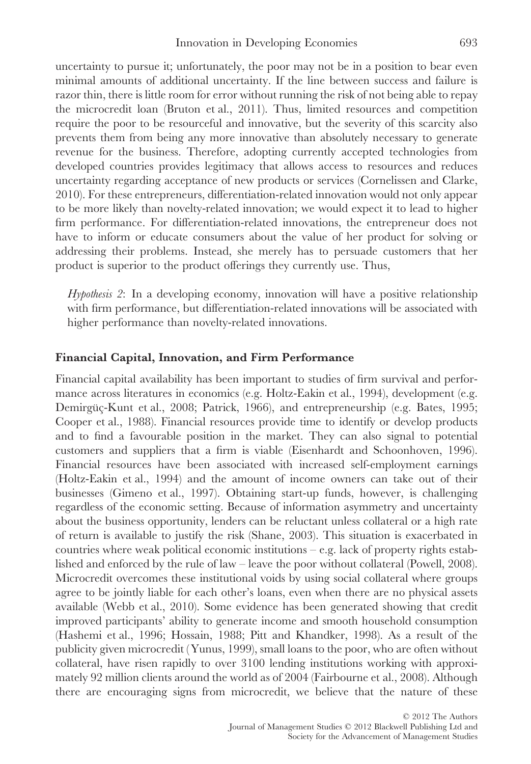uncertainty to pursue it; unfortunately, the poor may not be in a position to bear even minimal amounts of additional uncertainty. If the line between success and failure is razor thin, there is little room for error without running the risk of not being able to repay the microcredit loan (Bruton et al., 2011). Thus, limited resources and competition require the poor to be resourceful and innovative, but the severity of this scarcity also prevents them from being any more innovative than absolutely necessary to generate revenue for the business. Therefore, adopting currently accepted technologies from developed countries provides legitimacy that allows access to resources and reduces uncertainty regarding acceptance of new products or services (Cornelissen and Clarke, 2010). For these entrepreneurs, differentiation-related innovation would not only appear to be more likely than novelty-related innovation; we would expect it to lead to higher firm performance. For differentiation-related innovations, the entrepreneur does not have to inform or educate consumers about the value of her product for solving or addressing their problems. Instead, she merely has to persuade customers that her product is superior to the product offerings they currently use. Thus,

*Hypothesis 2*: In a developing economy, innovation will have a positive relationship with firm performance, but differentiation-related innovations will be associated with higher performance than novelty-related innovations.

#### **Financial Capital, Innovation, and Firm Performance**

Financial capital availability has been important to studies of firm survival and performance across literatures in economics (e.g. Holtz-Eakin et al., 1994), development (e.g. Demirgüç-Kunt et al., 2008; Patrick, 1966), and entrepreneurship (e.g. Bates, 1995; Cooper et al., 1988). Financial resources provide time to identify or develop products and to find a favourable position in the market. They can also signal to potential customers and suppliers that a firm is viable (Eisenhardt and Schoonhoven, 1996). Financial resources have been associated with increased self-employment earnings (Holtz-Eakin et al., 1994) and the amount of income owners can take out of their businesses (Gimeno et al., 1997). Obtaining start-up funds, however, is challenging regardless of the economic setting. Because of information asymmetry and uncertainty about the business opportunity, lenders can be reluctant unless collateral or a high rate of return is available to justify the risk (Shane, 2003). This situation is exacerbated in countries where weak political economic institutions  $-e.g.$  lack of property rights established and enforced by the rule of law – leave the poor without collateral (Powell, 2008). Microcredit overcomes these institutional voids by using social collateral where groups agree to be jointly liable for each other's loans, even when there are no physical assets available (Webb et al., 2010). Some evidence has been generated showing that credit improved participants' ability to generate income and smooth household consumption (Hashemi et al., 1996; Hossain, 1988; Pitt and Khandker, 1998). As a result of the publicity given microcredit ( Yunus, 1999), small loans to the poor, who are often without collateral, have risen rapidly to over 3100 lending institutions working with approximately 92 million clients around the world as of 2004 (Fairbourne et al., 2008). Although there are encouraging signs from microcredit, we believe that the nature of these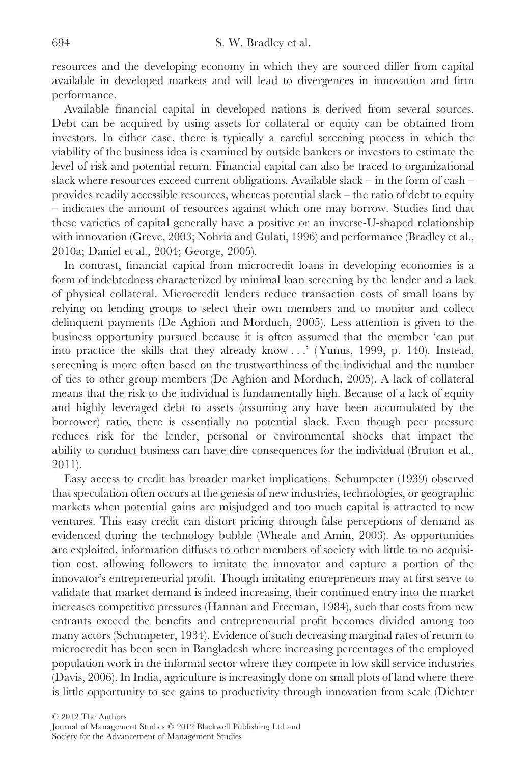resources and the developing economy in which they are sourced differ from capital available in developed markets and will lead to divergences in innovation and firm performance.

Available financial capital in developed nations is derived from several sources. Debt can be acquired by using assets for collateral or equity can be obtained from investors. In either case, there is typically a careful screening process in which the viability of the business idea is examined by outside bankers or investors to estimate the level of risk and potential return. Financial capital can also be traced to organizational slack where resources exceed current obligations. Available slack – in the form of cash – provides readily accessible resources, whereas potential slack – the ratio of debt to equity – indicates the amount of resources against which one may borrow. Studies find that these varieties of capital generally have a positive or an inverse-U-shaped relationship with innovation (Greve, 2003; Nohria and Gulati, 1996) and performance (Bradley et al., 2010a; Daniel et al., 2004; George, 2005).

In contrast, financial capital from microcredit loans in developing economies is a form of indebtedness characterized by minimal loan screening by the lender and a lack of physical collateral. Microcredit lenders reduce transaction costs of small loans by relying on lending groups to select their own members and to monitor and collect delinquent payments (De Aghion and Morduch, 2005). Less attention is given to the business opportunity pursued because it is often assumed that the member 'can put into practice the skills that they already know . . .' (Yunus, 1999, p. 140). Instead, screening is more often based on the trustworthiness of the individual and the number of ties to other group members (De Aghion and Morduch, 2005). A lack of collateral means that the risk to the individual is fundamentally high. Because of a lack of equity and highly leveraged debt to assets (assuming any have been accumulated by the borrower) ratio, there is essentially no potential slack. Even though peer pressure reduces risk for the lender, personal or environmental shocks that impact the ability to conduct business can have dire consequences for the individual (Bruton et al., 2011).

Easy access to credit has broader market implications. Schumpeter (1939) observed that speculation often occurs at the genesis of new industries, technologies, or geographic markets when potential gains are misjudged and too much capital is attracted to new ventures. This easy credit can distort pricing through false perceptions of demand as evidenced during the technology bubble (Wheale and Amin, 2003). As opportunities are exploited, information diffuses to other members of society with little to no acquisition cost, allowing followers to imitate the innovator and capture a portion of the innovator's entrepreneurial profit. Though imitating entrepreneurs may at first serve to validate that market demand is indeed increasing, their continued entry into the market increases competitive pressures (Hannan and Freeman, 1984), such that costs from new entrants exceed the benefits and entrepreneurial profit becomes divided among too many actors (Schumpeter, 1934). Evidence of such decreasing marginal rates of return to microcredit has been seen in Bangladesh where increasing percentages of the employed population work in the informal sector where they compete in low skill service industries (Davis, 2006). In India, agriculture is increasingly done on small plots of land where there is little opportunity to see gains to productivity through innovation from scale (Dichter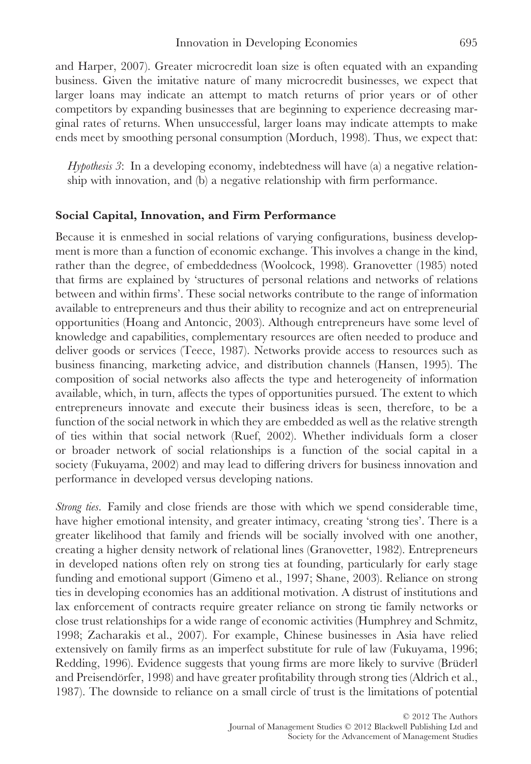and Harper, 2007). Greater microcredit loan size is often equated with an expanding business. Given the imitative nature of many microcredit businesses, we expect that larger loans may indicate an attempt to match returns of prior years or of other competitors by expanding businesses that are beginning to experience decreasing marginal rates of returns. When unsuccessful, larger loans may indicate attempts to make ends meet by smoothing personal consumption (Morduch, 1998). Thus, we expect that:

*Hypothesis 3*: In a developing economy, indebtedness will have (a) a negative relationship with innovation, and (b) a negative relationship with firm performance.

# **Social Capital, Innovation, and Firm Performance**

Because it is enmeshed in social relations of varying configurations, business development is more than a function of economic exchange. This involves a change in the kind, rather than the degree, of embeddedness (Woolcock, 1998). Granovetter (1985) noted that firms are explained by 'structures of personal relations and networks of relations between and within firms'. These social networks contribute to the range of information available to entrepreneurs and thus their ability to recognize and act on entrepreneurial opportunities (Hoang and Antoncic, 2003). Although entrepreneurs have some level of knowledge and capabilities, complementary resources are often needed to produce and deliver goods or services (Teece, 1987). Networks provide access to resources such as business financing, marketing advice, and distribution channels (Hansen, 1995). The composition of social networks also affects the type and heterogeneity of information available, which, in turn, affects the types of opportunities pursued. The extent to which entrepreneurs innovate and execute their business ideas is seen, therefore, to be a function of the social network in which they are embedded as well as the relative strength of ties within that social network (Ruef, 2002). Whether individuals form a closer or broader network of social relationships is a function of the social capital in a society (Fukuyama, 2002) and may lead to differing drivers for business innovation and performance in developed versus developing nations.

*Strong ties.* Family and close friends are those with which we spend considerable time, have higher emotional intensity, and greater intimacy, creating 'strong ties'. There is a greater likelihood that family and friends will be socially involved with one another, creating a higher density network of relational lines (Granovetter, 1982). Entrepreneurs in developed nations often rely on strong ties at founding, particularly for early stage funding and emotional support (Gimeno et al., 1997; Shane, 2003). Reliance on strong ties in developing economies has an additional motivation. A distrust of institutions and lax enforcement of contracts require greater reliance on strong tie family networks or close trust relationships for a wide range of economic activities (Humphrey and Schmitz, 1998; Zacharakis et al., 2007). For example, Chinese businesses in Asia have relied extensively on family firms as an imperfect substitute for rule of law (Fukuyama, 1996; Redding, 1996). Evidence suggests that young firms are more likely to survive (Brüderl and Preisendörfer, 1998) and have greater profitability through strong ties (Aldrich et al., 1987). The downside to reliance on a small circle of trust is the limitations of potential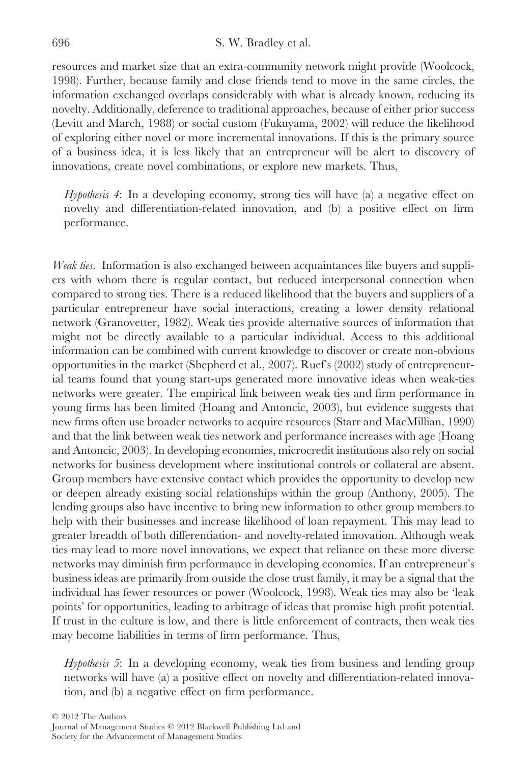resources and market size that an extra-community network might provide (Woolcock, 1998). Further, because family and close friends tend to move in the same circles, the information exchanged overlaps considerably with what is already known, reducing its novelty. Additionally, deference to traditional approaches, because of either prior success (Levitt and March, 1988) or social custom (Fukuyama, 2002) will reduce the likelihood of exploring either novel or more incremental innovations. If this is the primary source of a business idea, it is less likely that an entrepreneur will be alert to discovery of innovations, create novel combinations, or explore new markets. Thus,

*Hypothesis 4*: In a developing economy, strong ties will have (a) a negative effect on novelty and differentiation-related innovation, and (b) a positive effect on firm performance.

*Weak ties.* Information is also exchanged between acquaintances like buyers and suppliers with whom there is regular contact, but reduced interpersonal connection when compared to strong ties. There is a reduced likelihood that the buyers and suppliers of a particular entrepreneur have social interactions, creating a lower density relational network (Granovetter, 1982). Weak ties provide alternative sources of information that might not be directly available to a particular individual. Access to this additional information can be combined with current knowledge to discover or create non-obvious opportunities in the market (Shepherd et al., 2007). Ruef's (2002) study of entrepreneurial teams found that young start-ups generated more innovative ideas when weak-ties networks were greater. The empirical link between weak ties and firm performance in young firms has been limited (Hoang and Antoncic, 2003), but evidence suggests that new firms often use broader networks to acquire resources (Starr and MacMillian, 1990) and that the link between weak ties network and performance increases with age (Hoang and Antoncic, 2003). In developing economies, microcredit institutions also rely on social networks for business development where institutional controls or collateral are absent. Group members have extensive contact which provides the opportunity to develop new or deepen already existing social relationships within the group (Anthony, 2005). The lending groups also have incentive to bring new information to other group members to help with their businesses and increase likelihood of loan repayment. This may lead to greater breadth of both differentiation- and novelty-related innovation. Although weak ties may lead to more novel innovations, we expect that reliance on these more diverse networks may diminish firm performance in developing economies. If an entrepreneur's business ideas are primarily from outside the close trust family, it may be a signal that the individual has fewer resources or power (Woolcock, 1998). Weak ties may also be 'leak points' for opportunities, leading to arbitrage of ideas that promise high profit potential. If trust in the culture is low, and there is little enforcement of contracts, then weak ties may become liabilities in terms of firm performance. Thus,

*Hypothesis 5*: In a developing economy, weak ties from business and lending group networks will have (a) a positive effect on novelty and differentiation-related innovation, and (b) a negative effect on firm performance.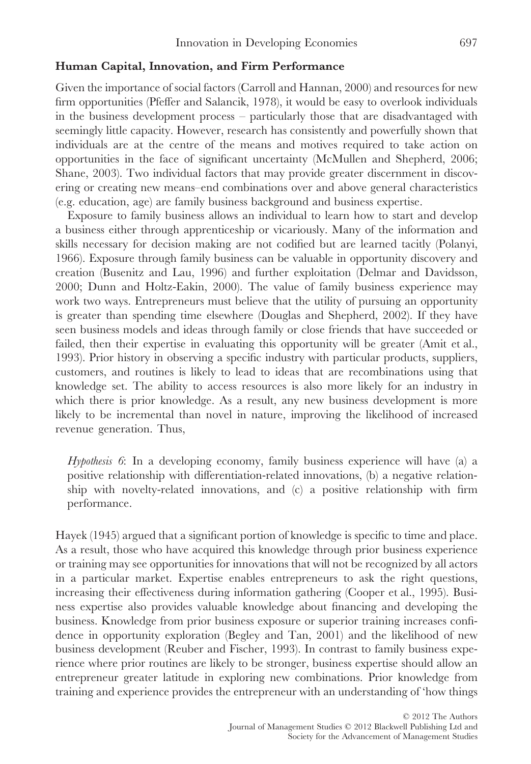#### **Human Capital, Innovation, and Firm Performance**

Given the importance of social factors (Carroll and Hannan, 2000) and resources for new firm opportunities (Pfeffer and Salancik, 1978), it would be easy to overlook individuals in the business development process – particularly those that are disadvantaged with seemingly little capacity. However, research has consistently and powerfully shown that individuals are at the centre of the means and motives required to take action on opportunities in the face of significant uncertainty (McMullen and Shepherd, 2006; Shane, 2003). Two individual factors that may provide greater discernment in discovering or creating new means–end combinations over and above general characteristics (e.g. education, age) are family business background and business expertise.

Exposure to family business allows an individual to learn how to start and develop a business either through apprenticeship or vicariously. Many of the information and skills necessary for decision making are not codified but are learned tacitly (Polanyi, 1966). Exposure through family business can be valuable in opportunity discovery and creation (Busenitz and Lau, 1996) and further exploitation (Delmar and Davidsson, 2000; Dunn and Holtz-Eakin, 2000). The value of family business experience may work two ways. Entrepreneurs must believe that the utility of pursuing an opportunity is greater than spending time elsewhere (Douglas and Shepherd, 2002). If they have seen business models and ideas through family or close friends that have succeeded or failed, then their expertise in evaluating this opportunity will be greater (Amit et al., 1993). Prior history in observing a specific industry with particular products, suppliers, customers, and routines is likely to lead to ideas that are recombinations using that knowledge set. The ability to access resources is also more likely for an industry in which there is prior knowledge. As a result, any new business development is more likely to be incremental than novel in nature, improving the likelihood of increased revenue generation. Thus,

*Hypothesis 6*: In a developing economy, family business experience will have (a) a positive relationship with differentiation-related innovations, (b) a negative relationship with novelty-related innovations, and (c) a positive relationship with firm performance.

Hayek (1945) argued that a significant portion of knowledge is specific to time and place. As a result, those who have acquired this knowledge through prior business experience or training may see opportunities for innovations that will not be recognized by all actors in a particular market. Expertise enables entrepreneurs to ask the right questions, increasing their effectiveness during information gathering (Cooper et al., 1995). Business expertise also provides valuable knowledge about financing and developing the business. Knowledge from prior business exposure or superior training increases confidence in opportunity exploration (Begley and Tan, 2001) and the likelihood of new business development (Reuber and Fischer, 1993). In contrast to family business experience where prior routines are likely to be stronger, business expertise should allow an entrepreneur greater latitude in exploring new combinations. Prior knowledge from training and experience provides the entrepreneur with an understanding of 'how things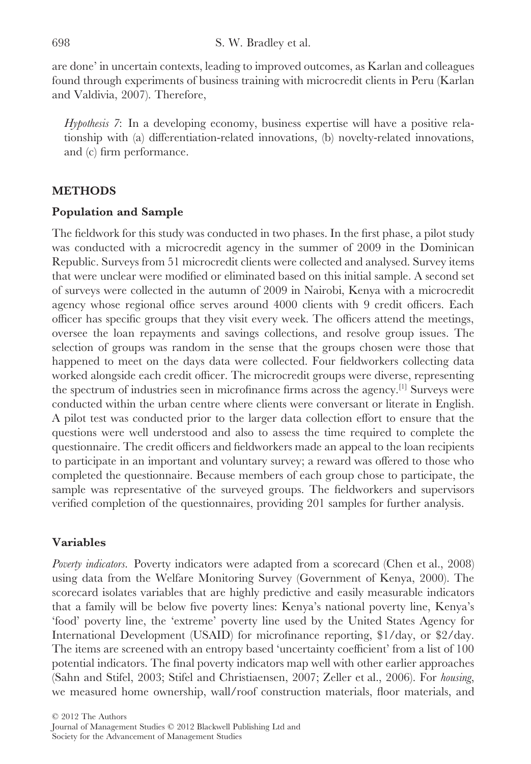are done' in uncertain contexts, leading to improved outcomes, as Karlan and colleagues found through experiments of business training with microcredit clients in Peru (Karlan and Valdivia, 2007). Therefore,

*Hypothesis 7*: In a developing economy, business expertise will have a positive relationship with (a) differentiation-related innovations, (b) novelty-related innovations, and (c) firm performance.

# **METHODS**

# **Population and Sample**

The fieldwork for this study was conducted in two phases. In the first phase, a pilot study was conducted with a microcredit agency in the summer of 2009 in the Dominican Republic. Surveys from 51 microcredit clients were collected and analysed. Survey items that were unclear were modified or eliminated based on this initial sample. A second set of surveys were collected in the autumn of 2009 in Nairobi, Kenya with a microcredit agency whose regional office serves around 4000 clients with 9 credit officers. Each officer has specific groups that they visit every week. The officers attend the meetings, oversee the loan repayments and savings collections, and resolve group issues. The selection of groups was random in the sense that the groups chosen were those that happened to meet on the days data were collected. Four fieldworkers collecting data worked alongside each credit officer. The microcredit groups were diverse, representing the spectrum of industries seen in microfinance firms across the agency.[1] Surveys were conducted within the urban centre where clients were conversant or literate in English. A pilot test was conducted prior to the larger data collection effort to ensure that the questions were well understood and also to assess the time required to complete the questionnaire. The credit officers and fieldworkers made an appeal to the loan recipients to participate in an important and voluntary survey; a reward was offered to those who completed the questionnaire. Because members of each group chose to participate, the sample was representative of the surveyed groups. The fieldworkers and supervisors verified completion of the questionnaires, providing 201 samples for further analysis.

# **Variables**

*Poverty indicators.* Poverty indicators were adapted from a scorecard (Chen et al., 2008) using data from the Welfare Monitoring Survey (Government of Kenya, 2000). The scorecard isolates variables that are highly predictive and easily measurable indicators that a family will be below five poverty lines: Kenya's national poverty line, Kenya's 'food' poverty line, the 'extreme' poverty line used by the United States Agency for International Development (USAID) for microfinance reporting, \$1/day, or \$2/day. The items are screened with an entropy based 'uncertainty coefficient' from a list of 100 potential indicators. The final poverty indicators map well with other earlier approaches (Sahn and Stifel, 2003; Stifel and Christiaensen, 2007; Zeller et al., 2006). For *housing*, we measured home ownership, wall/roof construction materials, floor materials, and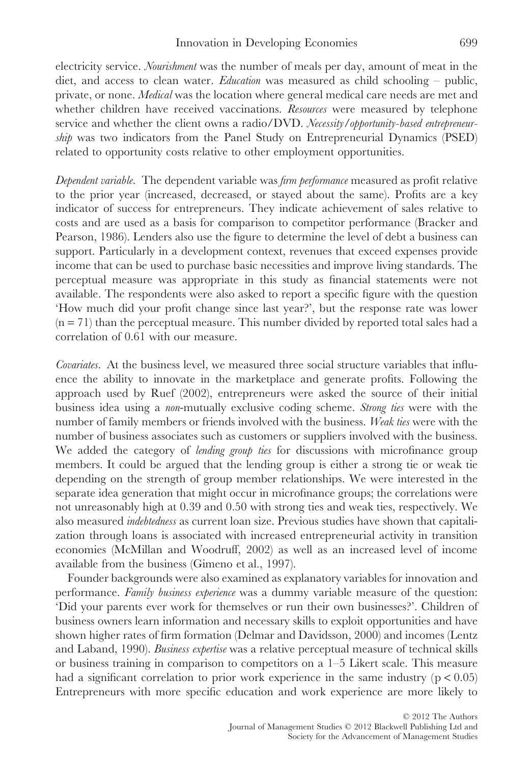electricity service. *Nourishment* was the number of meals per day, amount of meat in the diet, and access to clean water. *Education* was measured as child schooling – public, private, or none. *Medical* was the location where general medical care needs are met and whether children have received vaccinations. *Resources* were measured by telephone service and whether the client owns a radio/DVD. *Necessity/opportunity-based entrepreneurship* was two indicators from the Panel Study on Entrepreneurial Dynamics (PSED) related to opportunity costs relative to other employment opportunities.

*Dependent variable.* The dependent variable was *firm performance* measured as profit relative to the prior year (increased, decreased, or stayed about the same). Profits are a key indicator of success for entrepreneurs. They indicate achievement of sales relative to costs and are used as a basis for comparison to competitor performance (Bracker and Pearson, 1986). Lenders also use the figure to determine the level of debt a business can support. Particularly in a development context, revenues that exceed expenses provide income that can be used to purchase basic necessities and improve living standards. The perceptual measure was appropriate in this study as financial statements were not available. The respondents were also asked to report a specific figure with the question 'How much did your profit change since last year?', but the response rate was lower  $(n = 71)$  than the perceptual measure. This number divided by reported total sales had a correlation of 0.61 with our measure.

*Covariates.* At the business level, we measured three social structure variables that influence the ability to innovate in the marketplace and generate profits. Following the approach used by Ruef (2002), entrepreneurs were asked the source of their initial business idea using a *non*-mutually exclusive coding scheme. *Strong ties* were with the number of family members or friends involved with the business. *Weak ties* were with the number of business associates such as customers or suppliers involved with the business. We added the category of *lending group ties* for discussions with microfinance group members. It could be argued that the lending group is either a strong tie or weak tie depending on the strength of group member relationships. We were interested in the separate idea generation that might occur in microfinance groups; the correlations were not unreasonably high at 0.39 and 0.50 with strong ties and weak ties, respectively. We also measured *indebtedness* as current loan size. Previous studies have shown that capitalization through loans is associated with increased entrepreneurial activity in transition economies (McMillan and Woodruff, 2002) as well as an increased level of income available from the business (Gimeno et al., 1997).

Founder backgrounds were also examined as explanatory variables for innovation and performance. *Family business experience* was a dummy variable measure of the question: 'Did your parents ever work for themselves or run their own businesses?'. Children of business owners learn information and necessary skills to exploit opportunities and have shown higher rates of firm formation (Delmar and Davidsson, 2000) and incomes (Lentz and Laband, 1990). *Business expertise* was a relative perceptual measure of technical skills or business training in comparison to competitors on a 1–5 Likert scale. This measure had a significant correlation to prior work experience in the same industry ( $p < 0.05$ ) Entrepreneurs with more specific education and work experience are more likely to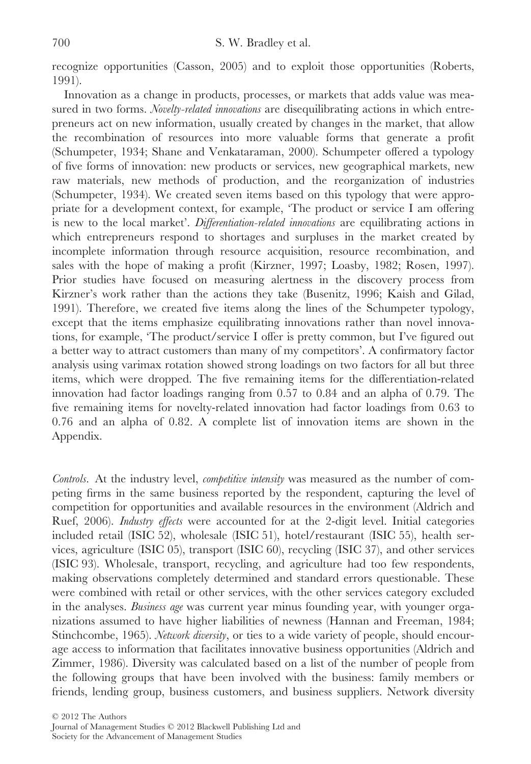recognize opportunities (Casson, 2005) and to exploit those opportunities (Roberts, 1991).

Innovation as a change in products, processes, or markets that adds value was measured in two forms. *Novelty-related innovations* are disequilibrating actions in which entrepreneurs act on new information, usually created by changes in the market, that allow the recombination of resources into more valuable forms that generate a profit (Schumpeter, 1934; Shane and Venkataraman, 2000). Schumpeter offered a typology of five forms of innovation: new products or services, new geographical markets, new raw materials, new methods of production, and the reorganization of industries (Schumpeter, 1934). We created seven items based on this typology that were appropriate for a development context, for example, 'The product or service I am offering is new to the local market'. *Differentiation-related innovations* are equilibrating actions in which entrepreneurs respond to shortages and surpluses in the market created by incomplete information through resource acquisition, resource recombination, and sales with the hope of making a profit (Kirzner, 1997; Loasby, 1982; Rosen, 1997). Prior studies have focused on measuring alertness in the discovery process from Kirzner's work rather than the actions they take (Busenitz, 1996; Kaish and Gilad, 1991). Therefore, we created five items along the lines of the Schumpeter typology, except that the items emphasize equilibrating innovations rather than novel innovations, for example, 'The product/service I offer is pretty common, but I've figured out a better way to attract customers than many of my competitors'. A confirmatory factor analysis using varimax rotation showed strong loadings on two factors for all but three items, which were dropped. The five remaining items for the differentiation-related innovation had factor loadings ranging from 0.57 to 0.84 and an alpha of 0.79. The five remaining items for novelty-related innovation had factor loadings from 0.63 to 0.76 and an alpha of 0.82. A complete list of innovation items are shown in the Appendix.

*Controls.* At the industry level, *competitive intensity* was measured as the number of competing firms in the same business reported by the respondent, capturing the level of competition for opportunities and available resources in the environment (Aldrich and Ruef, 2006). *Industry effects* were accounted for at the 2-digit level. Initial categories included retail (ISIC 52), wholesale (ISIC 51), hotel/restaurant (ISIC 55), health services, agriculture (ISIC 05), transport (ISIC 60), recycling (ISIC 37), and other services (ISIC 93). Wholesale, transport, recycling, and agriculture had too few respondents, making observations completely determined and standard errors questionable. These were combined with retail or other services, with the other services category excluded in the analyses. *Business age* was current year minus founding year, with younger organizations assumed to have higher liabilities of newness (Hannan and Freeman, 1984; Stinchcombe, 1965). *Network diversity*, or ties to a wide variety of people, should encourage access to information that facilitates innovative business opportunities (Aldrich and Zimmer, 1986). Diversity was calculated based on a list of the number of people from the following groups that have been involved with the business: family members or friends, lending group, business customers, and business suppliers. Network diversity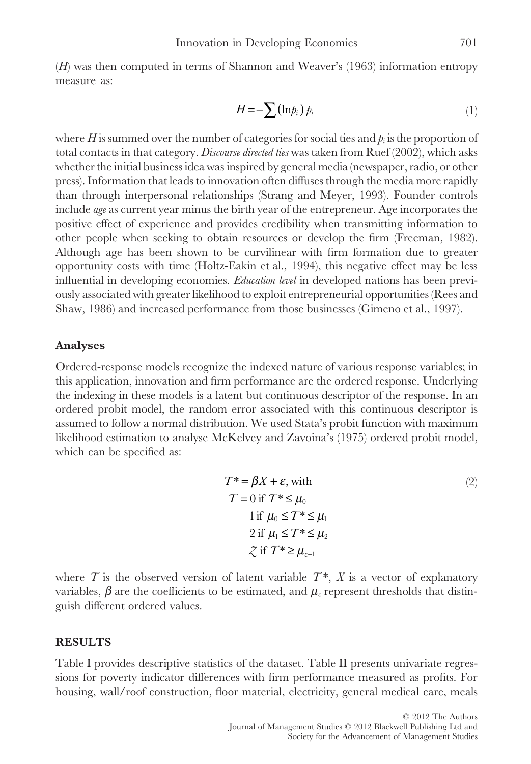(*H*) was then computed in terms of Shannon and Weaver's (1963) information entropy measure as:

$$
H = -\sum (\ln p_i) p_i \tag{1}
$$

where *H* is summed over the number of categories for social ties and  $p_i$  is the proportion of total contacts in that category. *Discourse directed ties* was taken from Ruef (2002), which asks whether the initial business idea was inspired by general media (newspaper, radio, or other press). Information that leads to innovation often diffuses through the media more rapidly than through interpersonal relationships (Strang and Meyer, 1993). Founder controls include *age* as current year minus the birth year of the entrepreneur. Age incorporates the positive effect of experience and provides credibility when transmitting information to other people when seeking to obtain resources or develop the firm (Freeman, 1982). Although age has been shown to be curvilinear with firm formation due to greater opportunity costs with time (Holtz-Eakin et al., 1994), this negative effect may be less influential in developing economies. *Education level* in developed nations has been previously associated with greater likelihood to exploit entrepreneurial opportunities (Rees and Shaw, 1986) and increased performance from those businesses (Gimeno et al., 1997).

#### **Analyses**

Ordered-response models recognize the indexed nature of various response variables; in this application, innovation and firm performance are the ordered response. Underlying the indexing in these models is a latent but continuous descriptor of the response. In an ordered probit model, the random error associated with this continuous descriptor is assumed to follow a normal distribution. We used Stata's probit function with maximum likelihood estimation to analyse McKelvey and Zavoina's (1975) ordered probit model, which can be specified as:

$$
T^* = \beta X + \varepsilon, \text{ with}
$$
  
\n
$$
T = 0 \text{ if } T^* \le \mu_0
$$
  
\n
$$
1 \text{ if } \mu_0 \le T^* \le \mu_1
$$
  
\n
$$
2 \text{ if } \mu_1 \le T^* \le \mu_2
$$
  
\n
$$
\mathcal{Z} \text{ if } T^* \ge \mu_{z-1}
$$
\n(2)

where  $T$  is the observed version of latent variable  $T^*$ ,  $X$  is a vector of explanatory variables,  $\beta$  are the coefficients to be estimated, and  $\mu$ <sub>z</sub> represent thresholds that distinguish different ordered values.

#### **RESULTS**

Table I provides descriptive statistics of the dataset. Table II presents univariate regressions for poverty indicator differences with firm performance measured as profits. For housing, wall/roof construction, floor material, electricity, general medical care, meals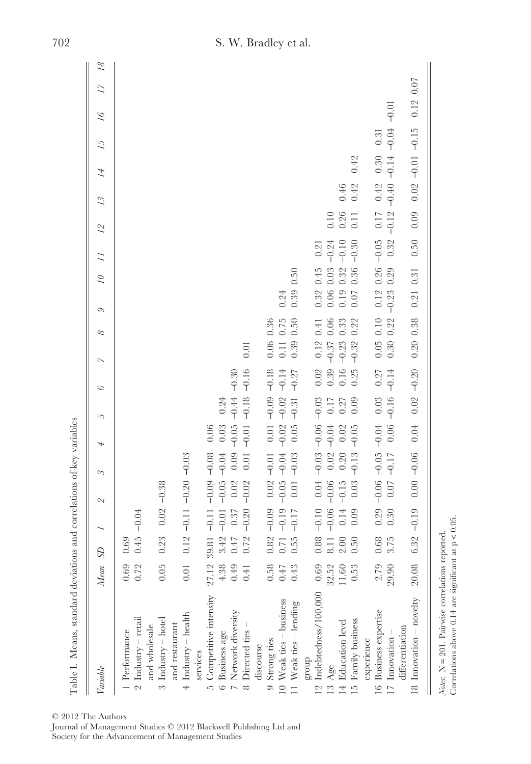| Table I. Means, standard deviations |             |                  |               |          |                | and correlations of key variables |          |               |         |             |           |                          |         |                  |          |                      |         |           |    |    |
|-------------------------------------|-------------|------------------|---------------|----------|----------------|-----------------------------------|----------|---------------|---------|-------------|-----------|--------------------------|---------|------------------|----------|----------------------|---------|-----------|----|----|
| Variable                            | Mean SL     |                  |               | $\sim$   | $\infty$       | 4                                 | ৸        | ७             | N       | ∾           | 0         | $\overline{\mathcal{L}}$ |         | l2               | 13       | 14                   | ГŚ      | 16        | 17 | 18 |
| 1 Performance                       | 0.69        | 0.69             |               |          |                |                                   |          |               |         |             |           |                          |         |                  |          |                      |         |           |    |    |
| $2$ Industry – retail               | 0.72        |                  | $0.45 - 0.04$ |          |                |                                   |          |               |         |             |           |                          |         |                  |          |                      |         |           |    |    |
| and wholesale                       |             |                  |               |          |                |                                   |          |               |         |             |           |                          |         |                  |          |                      |         |           |    |    |
| 3 Industry – hotel                  | 0.05        | 0.23             | 0.02          | $-0.38$  |                |                                   |          |               |         |             |           |                          |         |                  |          |                      |         |           |    |    |
| and restaurant                      |             |                  |               |          |                |                                   |          |               |         |             |           |                          |         |                  |          |                      |         |           |    |    |
| 4 Industry - health                 | 0.01        | 0.12             | $-0.11$       |          | $-0.20 - 0.03$ |                                   |          |               |         |             |           |                          |         |                  |          |                      |         |           |    |    |
| services                            |             |                  |               |          |                |                                   |          |               |         |             |           |                          |         |                  |          |                      |         |           |    |    |
| 5 Competitive intensity             | 27.12 39.81 |                  | $-0.11$       | $-0.09$  | $-0.08$        | 0.06                              |          |               |         |             |           |                          |         |                  |          |                      |         |           |    |    |
| 6 Business age                      | 4.38        | $3.42$<br>0.47   | $-0.01$       | $-0.05$  | $-0.04$        | 0.03                              | 0.24     |               |         |             |           |                          |         |                  |          |                      |         |           |    |    |
| 7 Network diversity                 | 0.49        |                  | 0.37          | $0.02\,$ | 0.09           | $-0.05$                           | $-0.44$  | $-0.30$       |         |             |           |                          |         |                  |          |                      |         |           |    |    |
| 8 Directed ties                     | 0.41        | 0.72             | $-0.20$       | $-0.02$  | 0.01           | $-0.01$                           | $-0.18$  | $-0.16$       | 0.01    |             |           |                          |         |                  |          |                      |         |           |    |    |
| discourse                           |             |                  |               |          |                |                                   |          |               |         |             |           |                          |         |                  |          |                      |         |           |    |    |
| 9 Strong ties                       | 0.58        |                  | $-0.09$       | $0.02\,$ | $-0.01$        | $0.01$                            | $-0.09$  | $-0.18$       | $0.06$  | 0.36        |           |                          |         |                  |          |                      |         |           |    |    |
| 10 Weak ties - business             | 0.47        | $0.82$<br>$0.71$ | $-0.19$       | $-0.05$  | $-0.04$        | $-0.02$                           | $-0.02$  | $-0.14$       | 0.11    | 0.75        | 0.24      |                          |         |                  |          |                      |         |           |    |    |
| 11 Weak ties - lending              | 0.43        | 55               | $-0.17$       | 0.01     | $-0.03$        | 0.05                              | $-0.31$  | $-0.27$       | 0.39    | 0.50        | 0.39      | 0.50                     |         |                  |          |                      |         |           |    |    |
| group                               |             |                  |               |          |                |                                   |          |               |         |             |           |                          |         |                  |          |                      |         |           |    |    |
| 12 Indebtedness/100,000 0.69        |             | $\!0.88\!$       | $-0.10$       | 0.04     | $-0.03$        | $-0.06$                           | $-0.03$  | 0.02          | 0.12    | 0.41        | 0.32      | 0.45                     | 0.21    |                  |          |                      |         |           |    |    |
| 13 Age                              | 32.52       | $\overline{11}$  | $-0.06$       | $-0.06$  | 0.02           | $-0.04$                           | 0.17     | 0.39          | $-0.37$ | 0.06        | 0.06      | 0.03                     | $-0.24$ | 0.10             |          |                      |         |           |    |    |
| 14 Education level                  | 11.60       | 00.              | $0.14\,$      | $-0.15$  | 0.20           | 0.02                              | 0.27     | 0.16          | $-0.23$ | 0.33        | 0.19      | 0.32                     | $-0.10$ | $0.26$<br>$0.11$ | 0.46     |                      |         |           |    |    |
| 15 Family business                  | 0.53        | 50               | 0.09          | 0.03     | $-0.13$        | $-0.05$                           | 0.09     | 0.25          | $-0.32$ | 0.22        | 0.07      | 0.36                     | $-0.30$ |                  | 0.42     | 0.42                 |         |           |    |    |
| experience                          |             |                  |               |          |                |                                   |          |               |         |             |           |                          |         |                  |          |                      |         |           |    |    |
| 16 Business expertise               | 2.79        | $0.68$<br>$3.75$ | 0.29          | $-0.06$  | $-0.05$        | $-0.04$                           | $0.03\,$ | 0.27          | 0.05    | 0.10        | $0.12\,$  | 0.26                     | $-0.05$ | $0.17\,$         | $0.42\,$ | $\,0.30$             | 0.31    |           |    |    |
| 17 Innovation                       | 29.90       |                  | 0.30          | 0.07     | $-0.17$        | 0.06                              | $-0.16$  | $-0.14$       | 0.30    | 0.22        | $-0.23$   | 0.29                     | 0.32    | $-0.12$          | $-0.40$  | $-0.14$              | $-0.04$ | $-0.01$   |    |    |
| differentiation                     |             |                  |               |          |                |                                   |          |               |         |             |           |                          |         |                  |          |                      |         |           |    |    |
| 18 Innovation - novelty             | 20.08       |                  | $6.32 - 0.19$ |          | $0.00 - 0.06$  | $0.04\,$                          |          | $0.02 - 0.20$ |         | $0.20$ 0.38 | 0.21 0.31 |                          | 0.50    | 0.09             |          | $0.02 - 0.01 - 0.15$ |         | 0.12 0.07 |    |    |
|                                     |             |                  |               |          |                |                                   |          |               |         |             |           |                          |         |                  |          |                      |         |           |    |    |

© 2012 The Authors

Journal of Management Studies © 2012 Blackwell Publishing Ltd and Society for the Advancement of Management Studies

Note:  $N = 201$ . Pairwise correlations reported.<br>Correlations above 0.14 are significant at p < 0.05. Correlations above  $0.14$  are significant at  $p < 0.05$ . *Notes*: N = 201. Pairwise correlations reported.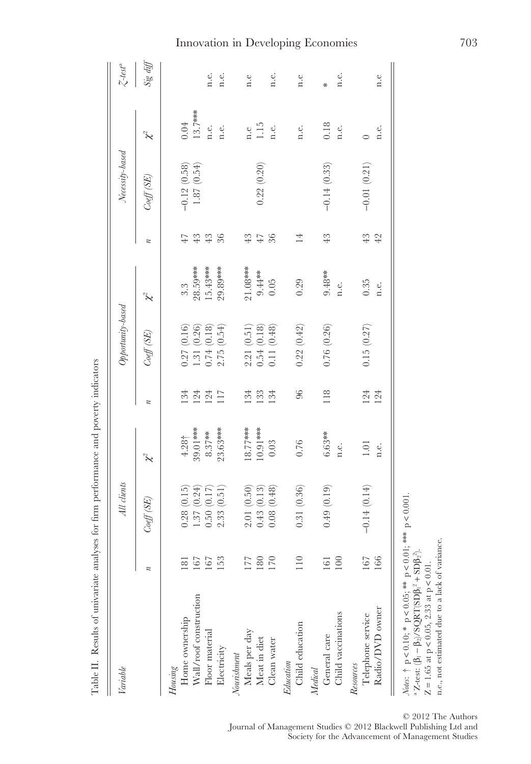| Variable                                                                                                                                           |                  | All clients                                                           |            |                  | $Op$ portunity-based                                          |            |                  | Necessity-based     |                   | $\mathcal{Z} \text{-} \mathit{test}^{\mathrm{a}}$ |
|----------------------------------------------------------------------------------------------------------------------------------------------------|------------------|-----------------------------------------------------------------------|------------|------------------|---------------------------------------------------------------|------------|------------------|---------------------|-------------------|---------------------------------------------------|
|                                                                                                                                                    | $\boldsymbol{n}$ | $\textit{Cogf(SE)}$                                                   | ℀          | $\boldsymbol{z}$ | $\textit{Cogf(SE)}$                                           | ₹          | $\boldsymbol{n}$ | $\textit{Cogf(SE)}$ | ₹                 | Sig diff                                          |
| Housing                                                                                                                                            |                  |                                                                       |            |                  |                                                               |            |                  |                     |                   |                                                   |
| Home ownership                                                                                                                                     | $\overline{181}$ | 0.28(0.15)                                                            | $4.28+$    | 134              | 0.27(0.16)                                                    | 3.3        |                  | $-0.12(0.58)$       | $0.04$<br>13.7*** |                                                   |
| Wall/roof construction                                                                                                                             | 167              | 1.37                                                                  | 39.01***   | 124              | (0.26)<br>1.31                                                | 28.59***   | 43               | 1.87(0.54)          |                   |                                                   |
| Floor material                                                                                                                                     | 167              | $\begin{array}{c} (0.24) \\ (0.17) \\ (0.51) \end{array}$<br>$0.50\,$ | $8.37***$  | 124              | (0.18)<br>0.74                                                | $15.43***$ | 43               |                     | n.e.              | n.e.                                              |
| Electricity                                                                                                                                        | 153              | 2.33                                                                  | 23.63***   | 117              | $(0.54)$<br>2.75                                              | 29.89***   | 36               |                     | n.e.              | n.e.                                              |
| $\mathcal{N}$ ourishment                                                                                                                           |                  |                                                                       |            |                  |                                                               |            |                  |                     |                   |                                                   |
| Meals per day                                                                                                                                      | 177              | (0.50)                                                                | $18.77***$ | 134              | 2.21(0.51)                                                    | 21.08***   | 43               |                     |                   | n.e                                               |
| Meat in diet                                                                                                                                       | 180              | $\left(0.13\right)$<br>$2.01$<br>0.43                                 | 10.91***   | 133              |                                                               | $9.44***$  | 47               | 0.22(0.20)          | n.e<br>1.15       |                                                   |
| Clean water                                                                                                                                        | 170              | $(0.48)$<br>0.08                                                      | 0.03       | 134              | $\begin{array}{c} 0.54 \ (0.18) \\ 0.11 \ (0.48) \end{array}$ | 0.05       | 36               |                     | n.e.              | n.e.                                              |
| Education                                                                                                                                          |                  |                                                                       |            |                  |                                                               |            |                  |                     |                   |                                                   |
| Child education                                                                                                                                    | 110              | 0.31(0.36)                                                            | 0.76       | 96               | 0.22(0.42)                                                    | 0.29       | $\overline{14}$  |                     | n.e.              | n.e                                               |
| Medical                                                                                                                                            |                  |                                                                       |            |                  |                                                               |            |                  |                     |                   |                                                   |
| General care                                                                                                                                       | 161              | $(61.0)$ 6+0                                                          | $6.63**$   | 118              | 0.76(0.26)                                                    | $9.48**$   | 43               | $-0.14(0.33)$       | 0.18              |                                                   |
| Child vaccinations                                                                                                                                 | 100              |                                                                       | n.e.       |                  |                                                               | n.e.       |                  |                     | n.e.              | n.e.                                              |
| Resources                                                                                                                                          |                  |                                                                       |            |                  |                                                               |            |                  |                     |                   |                                                   |
| Telephone service                                                                                                                                  | 167              | $-0.14(0.14)$                                                         | 1.01       | 124<br>124       | 0.15(0.27)                                                    | 0.35       | 43               | $-0.01(0.21)$       | $\circ$           |                                                   |
| Radio/DVD owner                                                                                                                                    | 166              |                                                                       | n.e.       |                  |                                                               | n.e.       | $42$             |                     | n.e.              | n.e                                               |
| Notes: $\uparrow$ p < 0.10; * p < 0.05; *** p < 0.01; *** p < 0.001.<br><sup>a</sup> Z-test: $(\beta_1 - \beta_2)/sQRT(SD\beta_1^2 + SD\beta_2^2)$ |                  |                                                                       |            |                  |                                                               |            |                  |                     |                   |                                                   |

Table II. Results of univariate analyses for firm performance and poverty indicators Table II. Results of univariate analyses for firm performance and poverty indicators

© 2012 The Authors

 $^a$  Z-test: ( $\beta_1 - \beta_2$ )/SQRT(SD $\beta_1^2$  + SD $\beta_2^2$ ).  $Z = 1.65$  at  $p < 0.05$ , 2.33 at  $p < 0.01$ .<br>n.e., not estimated due to a lack of variance.  $Z = 1.65$  at p < 0.05, 2.33 at p < 0.01. n.e., not estimated due to a lack of variance.

Journal of Management Studies © 2012 Blackwell Publishing Ltd and Society for the Advancement of Management Studies

# Innovation in Developing Economies 703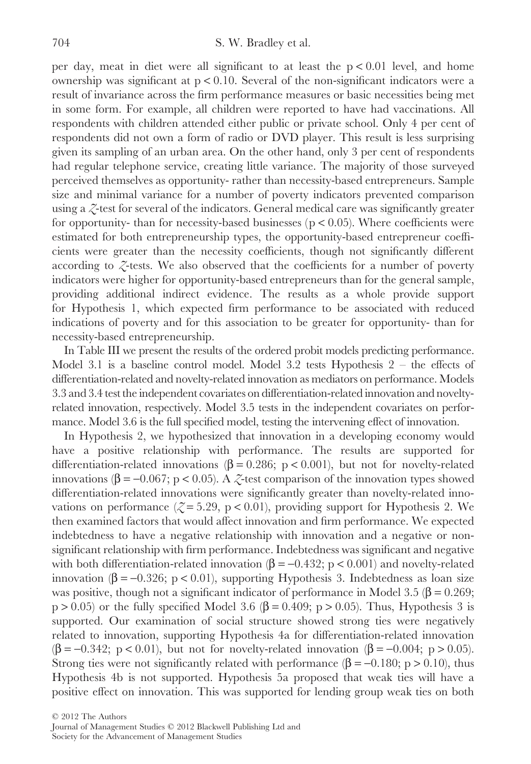per day, meat in diet were all significant to at least the  $p < 0.01$  level, and home ownership was significant at  $p < 0.10$ . Several of the non-significant indicators were a result of invariance across the firm performance measures or basic necessities being met in some form. For example, all children were reported to have had vaccinations. All respondents with children attended either public or private school. Only 4 per cent of respondents did not own a form of radio or DVD player. This result is less surprising given its sampling of an urban area. On the other hand, only 3 per cent of respondents had regular telephone service, creating little variance. The majority of those surveyed perceived themselves as opportunity- rather than necessity-based entrepreneurs. Sample size and minimal variance for a number of poverty indicators prevented comparison using a *Z*-test for several of the indicators. General medical care was significantly greater for opportunity- than for necessity-based businesses ( $p < 0.05$ ). Where coefficients were estimated for both entrepreneurship types, the opportunity-based entrepreneur coefficients were greater than the necessity coefficients, though not significantly different according to *Z*-tests. We also observed that the coefficients for a number of poverty indicators were higher for opportunity-based entrepreneurs than for the general sample, providing additional indirect evidence. The results as a whole provide support for Hypothesis 1, which expected firm performance to be associated with reduced indications of poverty and for this association to be greater for opportunity- than for necessity-based entrepreneurship.

In Table III we present the results of the ordered probit models predicting performance. Model 3.1 is a baseline control model. Model 3.2 tests Hypothesis 2 – the effects of differentiation-related and novelty-related innovation as mediators on performance. Models 3.3 and 3.4 test the independent covariates on differentiation-related innovation and noveltyrelated innovation, respectively. Model 3.5 tests in the independent covariates on performance. Model 3.6 is the full specified model, testing the intervening effect of innovation.

In Hypothesis 2, we hypothesized that innovation in a developing economy would have a positive relationship with performance. The results are supported for differentiation-related innovations  $(\beta = 0.286; p < 0.001)$ , but not for novelty-related innovations ( $\beta$  = -0.067; p < 0.05). A  $\zeta$ -test comparison of the innovation types showed differentiation-related innovations were significantly greater than novelty-related innovations on performance  $(\zeta = 5.29, p < 0.01)$ , providing support for Hypothesis 2. We then examined factors that would affect innovation and firm performance. We expected indebtedness to have a negative relationship with innovation and a negative or nonsignificant relationship with firm performance. Indebtedness was significant and negative with both differentiation-related innovation ( $\beta = -0.432$ ; p < 0.001) and novelty-related innovation ( $\beta = -0.326$ ; p < 0.01), supporting Hypothesis 3. Indebtedness as loan size was positive, though not a significant indicator of performance in Model 3.5  $(\beta = 0.269)$ ;  $p > 0.05$ ) or the fully specified Model 3.6 ( $\beta = 0.409$ ;  $p > 0.05$ ). Thus, Hypothesis 3 is supported. Our examination of social structure showed strong ties were negatively related to innovation, supporting Hypothesis 4a for differentiation-related innovation  $(\beta = -0.342; p < 0.01)$ , but not for novelty-related innovation  $(\beta = -0.004; p > 0.05)$ . Strong ties were not significantly related with performance  $(\beta = -0.180; p > 0.10)$ , thus Hypothesis 4b is not supported. Hypothesis 5a proposed that weak ties will have a positive effect on innovation. This was supported for lending group weak ties on both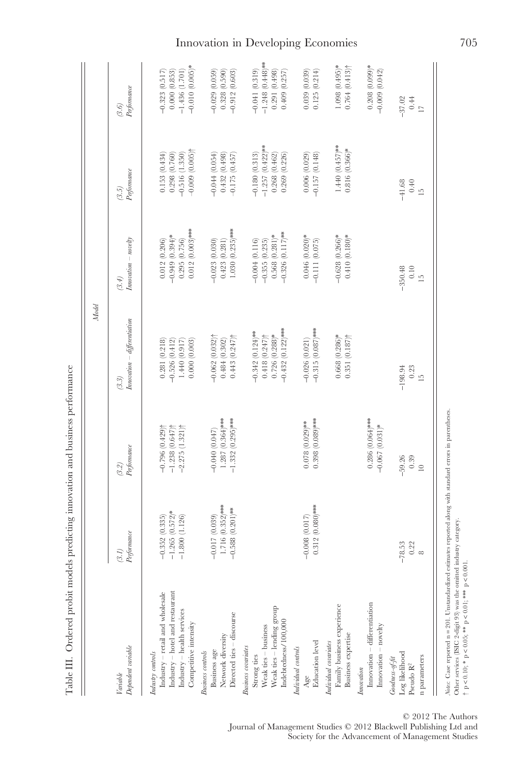|                                                                                                                                                         |                                                             |                                                              | $Model$                                                                                              |                                                                                 |                                                                       |                                                                         |
|---------------------------------------------------------------------------------------------------------------------------------------------------------|-------------------------------------------------------------|--------------------------------------------------------------|------------------------------------------------------------------------------------------------------|---------------------------------------------------------------------------------|-----------------------------------------------------------------------|-------------------------------------------------------------------------|
| Dependent variable<br>Variable                                                                                                                          | Performance<br>(3.1)                                        | $Pef \! \! f \! \! omance$<br>$(\mathbf{3.2})$               | $\label{eq:1} \begin{aligned} \textit{Innocation} - \textit{differentiation} \end{aligned}$<br>(3.3) | $\lim$ ocation $-$ novely<br>(3.4)                                              | Peifomance<br>$(3.5)$                                                 | Performance<br>$(3.6)$                                                  |
| Industry – hotel and restaurant<br>$\rm Industry-real$ and $\rm whole sale$<br>Industry - health services<br>Competitive intensity<br>Industry controls | $-0.352(0.335)$<br>$-1.265(0.572)*$<br>$-1.800(1.126)$      | $-0.796(0.429)$<br>$-1.238(0.647)$<br>$-2.275(1.321)$        | 0.281(0.218)<br>$-0.526(0.412)$<br>0.000(0.003)<br>1.440 (0.917)                                     | $0.012(0.003)$ ***<br>$-0.949(0.394)$ *<br>0.012(0.206)<br>0.295(0.756)         | $-0.009$ $(0.005)$<br>0.153(0.434)<br>0.298(0.760)<br>$-0.516(1.350)$ | $-0.010(0.005)$ *<br>0.000(0.853)<br>$-1.436(1.701)$<br>$-0.323(0.517)$ |
| Directed ties - discourse<br>Business age<br>Network diversity<br>Business controls                                                                     | $1.716$ (0.352)***<br>$-0.588(0.201)$ **<br>$-0.017(0.039)$ | $1.287(0.364)$ ***<br>$-1.332(0.295)$ ***<br>$-0.040(0.047)$ | 0.443(0.247)<br>$-0.062(0.032)$<br>0.484(0.302)                                                      | $1.030(0.235)$ ***<br>$-0.023(0.030)$<br>0.423(0.281)                           | $-0.044(0.054)$<br>0.432(0.498)<br>$-0.175(0.457)$                    | $-0.029(0.059)$<br>0.328(0.590)<br>$-0.912(0.603)$                      |
| Weak ties - lending group<br>Indebtedness/100,000<br>Weak ties - business<br><b>Business</b> covariates<br>Strong ties                                  |                                                             |                                                              | $-0.432(0.122)$ ***<br>$-0.342(0.124)$ **<br>0.418(0.247)<br>$0.726(0.288)*$                         | $-0.326$ $(0.117)$ **<br>$0.568(0.281)$ *<br>$-0.004(0.116)$<br>$-0.355(0.235)$ | $-1.257(0.422)$ **<br>$-0.180(0.313)$<br>0.268(0.462)<br>0.269(0.226) | $-1.248(0.448)$ **<br>0.291 (0.498)<br>$-0.041(0.319)$<br>0.409(0.257)  |
| Education level<br>$\label{eq:induc} \textit{Individual\ convols}$<br>Age                                                                               | $0.312(0.080)$ ***<br>$-0.008(0.017)$                       | $0.398(0.089)$ ***<br>$0.078(0.029)$ **                      | $-0.315(0.087)$ ***<br>$-0.026(0.021)$                                                               | $0.046(0.020)$ *<br>$-0.111(0.075)$                                             | $-0.157(0.148)$<br>0.006(0.029)                                       | 0.039 (0.039)<br>0.125(0.214)                                           |
| Family business experience<br>Business expertise<br>Individual covariates                                                                               |                                                             |                                                              | $0.668(0.286)$ *<br>0.351(0.187)                                                                     | $0.410(0.180)$ *<br>$-0.628(0.266)$ *                                           | $1.440(0.457)$ **<br>$0.816(0.366)$ *                                 | $1.098(0.495)$ *<br>0.764(0.413)                                        |
| $Inovation - differentiation$<br>Innovation - novelty<br>$\label{eq:1} In a rotation$                                                                   |                                                             | $0.286$ (0.064)***<br>$-0.067(0.031)*$                       |                                                                                                      |                                                                                 |                                                                       | $0.208(0.099)*$<br>$-0.009(0.042)$                                      |
| Log likelihood<br>n parameters<br>$Goodness-of-fit$<br>Pseudo $\mathbb{R}^2$                                                                            | $-78.53$<br>0.22<br>$\infty$                                | $-59.26$<br>0.39<br>$\supseteq$                              | $-198.94$<br>0.23<br>$\overline{15}$                                                                 | $-350.48$<br>0.10<br>$\frac{1}{1}$                                              | $-41.68$<br>$0.40\,$<br>$\frac{1}{2}$                                 | $-37.02$<br>$\,0.44$<br>$\overline{\Box}$                               |
|                                                                                                                                                         |                                                             |                                                              |                                                                                                      |                                                                                 |                                                                       |                                                                         |

Table III. Ordered probit models predicting innovation and business performance Table III. Ordered probit models predicting innovation and business performance

 $\mathbb{I}$ 

© 2012 The Authors Journal of Management Studies © 2012 Blackwell Publishing Ltd and Society for the Advancement of Management Studies

*Notes*: Case reported n = 201. Unstandardized estimates reported along with standard errors in parentheses.

*Note:* Case reported n = 201. Unstandardized estimates reported along with standard errors in parentheses.<br>Other services (ISIC 2-digit 93) was the omitted industry category.<br>† p < 0.10; \* p < 0.05; \*\* p < 0.01; \*\* p < 0

Other services (ISIC 2-digit 93) was the omitted industry category.

† p < 0.10; \* p < 0.05; \*\* p < 0.01; \*\*\* p < 0.001.

# Innovation in Developing Economies 705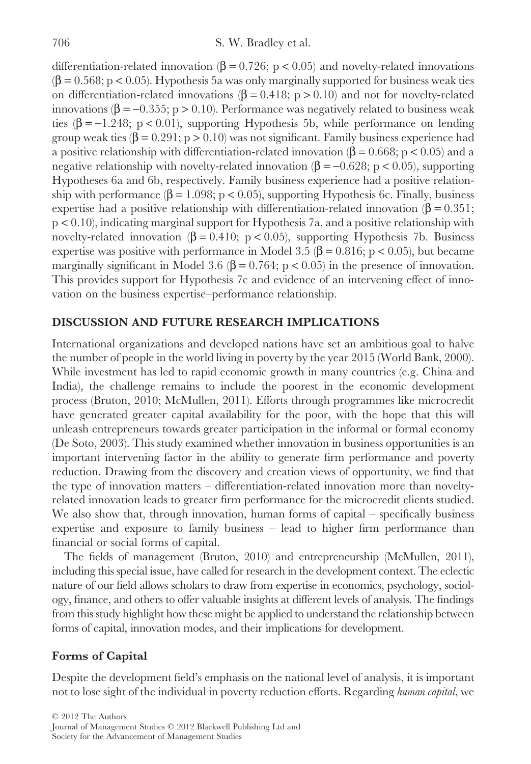differentiation-related innovation ( $\beta$  = 0.726; p < 0.05) and novelty-related innovations  $(\beta = 0.568; p < 0.05)$ . Hypothesis 5a was only marginally supported for business weak ties on differentiation-related innovations ( $\beta$  = 0.418; p > 0.10) and not for novelty-related innovations ( $\beta = -0.355$ ; p > 0.10). Performance was negatively related to business weak ties  $(\beta = -1.248; p < 0.01)$ , supporting Hypothesis 5b, while performance on lending group weak ties  $(\beta = 0.291; p > 0.10)$  was not significant. Family business experience had a positive relationship with differentiation-related innovation ( $\beta$  = 0.668; p < 0.05) and a negative relationship with novelty-related innovation ( $\beta = -0.628$ ; p < 0.05), supporting Hypotheses 6a and 6b, respectively. Family business experience had a positive relationship with performance ( $\beta = 1.098$ ; p < 0.05), supporting Hypothesis 6c. Finally, business expertise had a positive relationship with differentiation-related innovation  $(\beta = 0.351)$ ; p < 0.10), indicating marginal support for Hypothesis 7a, and a positive relationship with novelty-related innovation ( $\beta$  = 0.410; p < 0.05), supporting Hypothesis 7b. Business expertise was positive with performance in Model 3.5 ( $\beta$  = 0.816; p < 0.05), but became marginally significant in Model 3.6 ( $\beta$  = 0.764; p < 0.05) in the presence of innovation. This provides support for Hypothesis 7c and evidence of an intervening effect of innovation on the business expertise–performance relationship.

# **DISCUSSION AND FUTURE RESEARCH IMPLICATIONS**

International organizations and developed nations have set an ambitious goal to halve the number of people in the world living in poverty by the year 2015 (World Bank, 2000). While investment has led to rapid economic growth in many countries (e.g. China and India), the challenge remains to include the poorest in the economic development process (Bruton, 2010; McMullen, 2011). Efforts through programmes like microcredit have generated greater capital availability for the poor, with the hope that this will unleash entrepreneurs towards greater participation in the informal or formal economy (De Soto, 2003). This study examined whether innovation in business opportunities is an important intervening factor in the ability to generate firm performance and poverty reduction. Drawing from the discovery and creation views of opportunity, we find that the type of innovation matters – differentiation-related innovation more than noveltyrelated innovation leads to greater firm performance for the microcredit clients studied. We also show that, through innovation, human forms of capital – specifically business expertise and exposure to family business – lead to higher firm performance than financial or social forms of capital.

The fields of management (Bruton, 2010) and entrepreneurship (McMullen, 2011), including this special issue, have called for research in the development context. The eclectic nature of our field allows scholars to draw from expertise in economics, psychology, sociology, finance, and others to offer valuable insights at different levels of analysis. The findings from this study highlight how these might be applied to understand the relationship between forms of capital, innovation modes, and their implications for development.

# **Forms of Capital**

Despite the development field's emphasis on the national level of analysis, it is important not to lose sight of the individual in poverty reduction efforts. Regarding *human capital*, we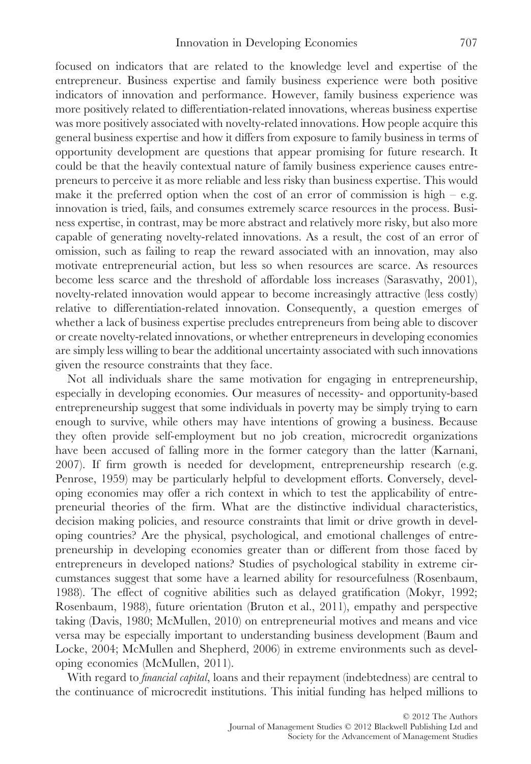focused on indicators that are related to the knowledge level and expertise of the entrepreneur. Business expertise and family business experience were both positive indicators of innovation and performance. However, family business experience was more positively related to differentiation-related innovations, whereas business expertise was more positively associated with novelty-related innovations. How people acquire this general business expertise and how it differs from exposure to family business in terms of opportunity development are questions that appear promising for future research. It could be that the heavily contextual nature of family business experience causes entrepreneurs to perceive it as more reliable and less risky than business expertise. This would make it the preferred option when the cost of an error of commission is high  $-$  e.g. innovation is tried, fails, and consumes extremely scarce resources in the process. Business expertise, in contrast, may be more abstract and relatively more risky, but also more capable of generating novelty-related innovations. As a result, the cost of an error of omission, such as failing to reap the reward associated with an innovation, may also motivate entrepreneurial action, but less so when resources are scarce. As resources become less scarce and the threshold of affordable loss increases (Sarasvathy, 2001), novelty-related innovation would appear to become increasingly attractive (less costly) relative to differentiation-related innovation. Consequently, a question emerges of whether a lack of business expertise precludes entrepreneurs from being able to discover or create novelty-related innovations, or whether entrepreneurs in developing economies are simply less willing to bear the additional uncertainty associated with such innovations given the resource constraints that they face.

Not all individuals share the same motivation for engaging in entrepreneurship, especially in developing economies. Our measures of necessity- and opportunity-based entrepreneurship suggest that some individuals in poverty may be simply trying to earn enough to survive, while others may have intentions of growing a business. Because they often provide self-employment but no job creation, microcredit organizations have been accused of falling more in the former category than the latter (Karnani, 2007). If firm growth is needed for development, entrepreneurship research (e.g. Penrose, 1959) may be particularly helpful to development efforts. Conversely, developing economies may offer a rich context in which to test the applicability of entrepreneurial theories of the firm. What are the distinctive individual characteristics, decision making policies, and resource constraints that limit or drive growth in developing countries? Are the physical, psychological, and emotional challenges of entrepreneurship in developing economies greater than or different from those faced by entrepreneurs in developed nations? Studies of psychological stability in extreme circumstances suggest that some have a learned ability for resourcefulness (Rosenbaum, 1988). The effect of cognitive abilities such as delayed gratification (Mokyr, 1992; Rosenbaum, 1988), future orientation (Bruton et al., 2011), empathy and perspective taking (Davis, 1980; McMullen, 2010) on entrepreneurial motives and means and vice versa may be especially important to understanding business development (Baum and Locke, 2004; McMullen and Shepherd, 2006) in extreme environments such as developing economies (McMullen, 2011).

With regard to *financial capital*, loans and their repayment (indebtedness) are central to the continuance of microcredit institutions. This initial funding has helped millions to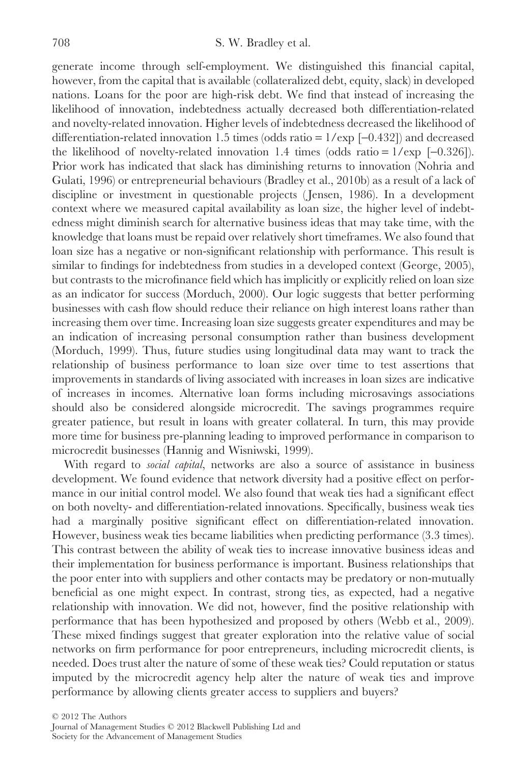generate income through self-employment. We distinguished this financial capital, however, from the capital that is available (collateralized debt, equity, slack) in developed nations. Loans for the poor are high-risk debt. We find that instead of increasing the likelihood of innovation, indebtedness actually decreased both differentiation-related and novelty-related innovation. Higher levels of indebtedness decreased the likelihood of differentiation-related innovation 1.5 times (odds ratio =  $1/\exp$  [-0.432]) and decreased the likelihood of novelty-related innovation 1.4 times (odds ratio =  $1/\exp$  [-0.326]). Prior work has indicated that slack has diminishing returns to innovation (Nohria and Gulati, 1996) or entrepreneurial behaviours (Bradley et al., 2010b) as a result of a lack of discipline or investment in questionable projects ( Jensen, 1986). In a development context where we measured capital availability as loan size, the higher level of indebtedness might diminish search for alternative business ideas that may take time, with the knowledge that loans must be repaid over relatively short timeframes. We also found that loan size has a negative or non-significant relationship with performance. This result is similar to findings for indebtedness from studies in a developed context (George, 2005), but contrasts to the microfinance field which has implicitly or explicitly relied on loan size as an indicator for success (Morduch, 2000). Our logic suggests that better performing businesses with cash flow should reduce their reliance on high interest loans rather than increasing them over time. Increasing loan size suggests greater expenditures and may be an indication of increasing personal consumption rather than business development (Morduch, 1999). Thus, future studies using longitudinal data may want to track the relationship of business performance to loan size over time to test assertions that improvements in standards of living associated with increases in loan sizes are indicative of increases in incomes. Alternative loan forms including microsavings associations should also be considered alongside microcredit. The savings programmes require greater patience, but result in loans with greater collateral. In turn, this may provide more time for business pre-planning leading to improved performance in comparison to microcredit businesses (Hannig and Wisniwski, 1999).

With regard to *social capital*, networks are also a source of assistance in business development. We found evidence that network diversity had a positive effect on performance in our initial control model. We also found that weak ties had a significant effect on both novelty- and differentiation-related innovations. Specifically, business weak ties had a marginally positive significant effect on differentiation-related innovation. However, business weak ties became liabilities when predicting performance (3.3 times). This contrast between the ability of weak ties to increase innovative business ideas and their implementation for business performance is important. Business relationships that the poor enter into with suppliers and other contacts may be predatory or non-mutually beneficial as one might expect. In contrast, strong ties, as expected, had a negative relationship with innovation. We did not, however, find the positive relationship with performance that has been hypothesized and proposed by others (Webb et al., 2009). These mixed findings suggest that greater exploration into the relative value of social networks on firm performance for poor entrepreneurs, including microcredit clients, is needed. Does trust alter the nature of some of these weak ties? Could reputation or status imputed by the microcredit agency help alter the nature of weak ties and improve performance by allowing clients greater access to suppliers and buyers?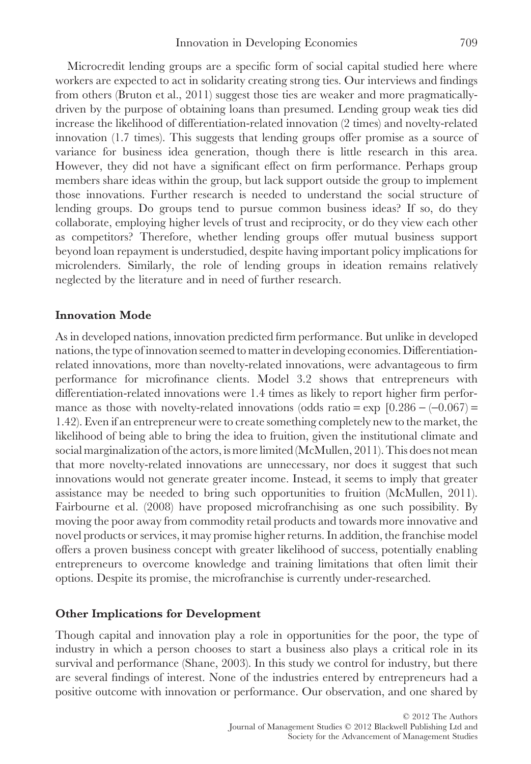Microcredit lending groups are a specific form of social capital studied here where workers are expected to act in solidarity creating strong ties. Our interviews and findings from others (Bruton et al., 2011) suggest those ties are weaker and more pragmaticallydriven by the purpose of obtaining loans than presumed. Lending group weak ties did increase the likelihood of differentiation-related innovation (2 times) and novelty-related innovation (1.7 times). This suggests that lending groups offer promise as a source of variance for business idea generation, though there is little research in this area. However, they did not have a significant effect on firm performance. Perhaps group members share ideas within the group, but lack support outside the group to implement those innovations. Further research is needed to understand the social structure of lending groups. Do groups tend to pursue common business ideas? If so, do they collaborate, employing higher levels of trust and reciprocity, or do they view each other as competitors? Therefore, whether lending groups offer mutual business support beyond loan repayment is understudied, despite having important policy implications for microlenders. Similarly, the role of lending groups in ideation remains relatively neglected by the literature and in need of further research.

#### **Innovation Mode**

As in developed nations, innovation predicted firm performance. But unlike in developed nations, the type of innovation seemed to matter in developing economies. Differentiationrelated innovations, more than novelty-related innovations, were advantageous to firm performance for microfinance clients. Model 3.2 shows that entrepreneurs with differentiation-related innovations were 1.4 times as likely to report higher firm performance as those with novelty-related innovations (odds ratio =  $\exp$  [0.286 - (-0.067) = 1.42). Even if an entrepreneur were to create something completely new to the market, the likelihood of being able to bring the idea to fruition, given the institutional climate and social marginalization of the actors, is more limited (McMullen, 2011). This does not mean that more novelty-related innovations are unnecessary, nor does it suggest that such innovations would not generate greater income. Instead, it seems to imply that greater assistance may be needed to bring such opportunities to fruition (McMullen, 2011). Fairbourne et al. (2008) have proposed microfranchising as one such possibility. By moving the poor away from commodity retail products and towards more innovative and novel products or services, it may promise higher returns. In addition, the franchise model offers a proven business concept with greater likelihood of success, potentially enabling entrepreneurs to overcome knowledge and training limitations that often limit their options. Despite its promise, the microfranchise is currently under-researched.

# **Other Implications for Development**

Though capital and innovation play a role in opportunities for the poor, the type of industry in which a person chooses to start a business also plays a critical role in its survival and performance (Shane, 2003). In this study we control for industry, but there are several findings of interest. None of the industries entered by entrepreneurs had a positive outcome with innovation or performance. Our observation, and one shared by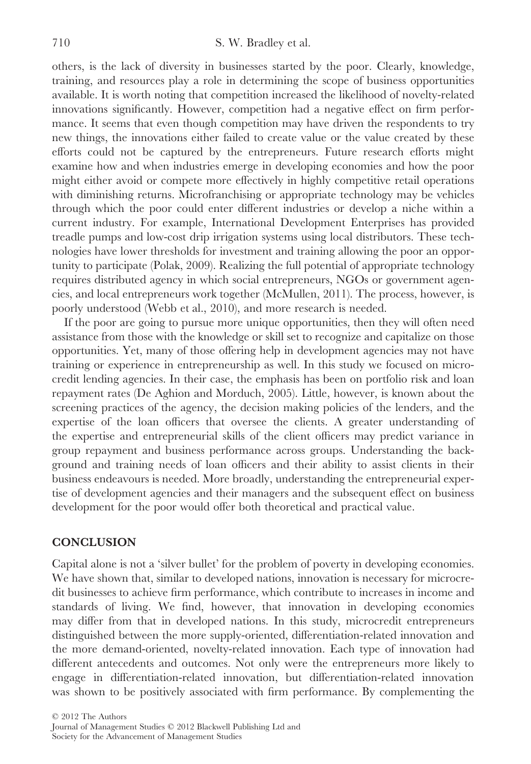others, is the lack of diversity in businesses started by the poor. Clearly, knowledge, training, and resources play a role in determining the scope of business opportunities available. It is worth noting that competition increased the likelihood of novelty-related innovations significantly. However, competition had a negative effect on firm performance. It seems that even though competition may have driven the respondents to try new things, the innovations either failed to create value or the value created by these efforts could not be captured by the entrepreneurs. Future research efforts might examine how and when industries emerge in developing economies and how the poor might either avoid or compete more effectively in highly competitive retail operations with diminishing returns. Microfranchising or appropriate technology may be vehicles through which the poor could enter different industries or develop a niche within a current industry. For example, International Development Enterprises has provided treadle pumps and low-cost drip irrigation systems using local distributors. These technologies have lower thresholds for investment and training allowing the poor an opportunity to participate (Polak, 2009). Realizing the full potential of appropriate technology requires distributed agency in which social entrepreneurs, NGOs or government agencies, and local entrepreneurs work together (McMullen, 2011). The process, however, is poorly understood (Webb et al., 2010), and more research is needed.

If the poor are going to pursue more unique opportunities, then they will often need assistance from those with the knowledge or skill set to recognize and capitalize on those opportunities. Yet, many of those offering help in development agencies may not have training or experience in entrepreneurship as well. In this study we focused on microcredit lending agencies. In their case, the emphasis has been on portfolio risk and loan repayment rates (De Aghion and Morduch, 2005). Little, however, is known about the screening practices of the agency, the decision making policies of the lenders, and the expertise of the loan officers that oversee the clients. A greater understanding of the expertise and entrepreneurial skills of the client officers may predict variance in group repayment and business performance across groups. Understanding the background and training needs of loan officers and their ability to assist clients in their business endeavours is needed. More broadly, understanding the entrepreneurial expertise of development agencies and their managers and the subsequent effect on business development for the poor would offer both theoretical and practical value.

#### **CONCLUSION**

Capital alone is not a 'silver bullet' for the problem of poverty in developing economies. We have shown that, similar to developed nations, innovation is necessary for microcredit businesses to achieve firm performance, which contribute to increases in income and standards of living. We find, however, that innovation in developing economies may differ from that in developed nations. In this study, microcredit entrepreneurs distinguished between the more supply-oriented, differentiation-related innovation and the more demand-oriented, novelty-related innovation. Each type of innovation had different antecedents and outcomes. Not only were the entrepreneurs more likely to engage in differentiation-related innovation, but differentiation-related innovation was shown to be positively associated with firm performance. By complementing the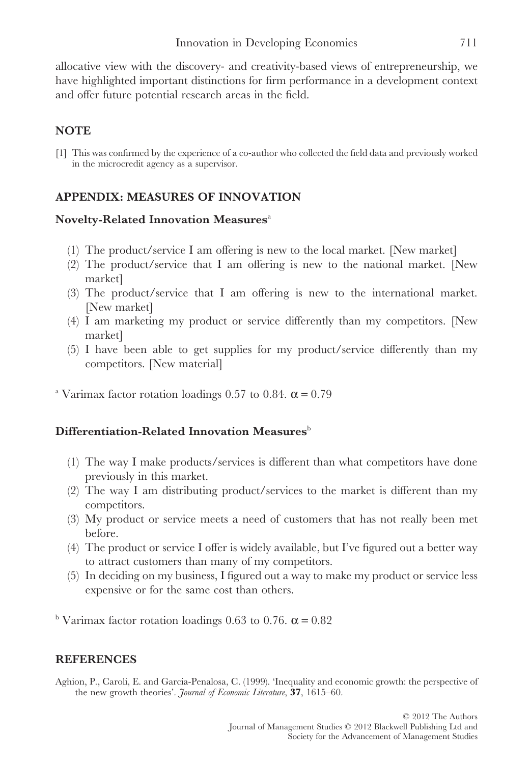allocative view with the discovery- and creativity-based views of entrepreneurship, we have highlighted important distinctions for firm performance in a development context and offer future potential research areas in the field.

# **NOTE**

[1] This was confirmed by the experience of a co-author who collected the field data and previously worked in the microcredit agency as a supervisor.

# **APPENDIX: MEASURES OF INNOVATION**

# **Novelty-Related Innovation Measures**<sup>a</sup>

- (1) The product/service I am offering is new to the local market. [New market]
- (2) The product/service that I am offering is new to the national market. [New market]
- (3) The product/service that I am offering is new to the international market. [New market]
- (4) I am marketing my product or service differently than my competitors. [New market]
- (5) I have been able to get supplies for my product/service differently than my competitors. [New material]

<sup>a</sup> Varimax factor rotation loadings 0.57 to 0.84.  $\alpha$  = 0.79

# **Differentiation-Related Innovation Measures**<sup>b</sup>

- (1) The way I make products/services is different than what competitors have done previously in this market.
- (2) The way I am distributing product/services to the market is different than my competitors.
- (3) My product or service meets a need of customers that has not really been met before.
- (4) The product or service I offer is widely available, but I've figured out a better way to attract customers than many of my competitors.
- (5) In deciding on my business, I figured out a way to make my product or service less expensive or for the same cost than others.

<sup>b</sup> Varimax factor rotation loadings 0.63 to 0.76.  $\alpha = 0.82$ 

# **REFERENCES**

Aghion, P., Caroli, E. and Garcia-Penalosa, C. (1999). 'Inequality and economic growth: the perspective of the new growth theories'. *Journal of Economic Literature*, **37**, 1615–60.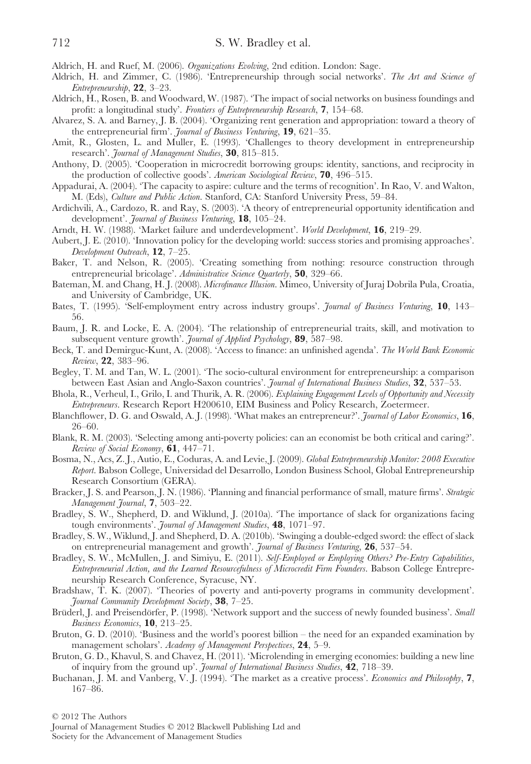- Aldrich, H. and Ruef, M. (2006). *Organizations Evolving*, 2nd edition. London: Sage.
- Aldrich, H. and Zimmer, C. (1986). 'Entrepreneurship through social networks'. *The Art and Science of Entrepreneurship*, **22**, 3–23.
- Aldrich, H., Rosen, B. and Woodward, W. (1987). 'The impact of social networks on business foundings and profit: a longitudinal study'. *Frontiers of Entrepreneurship Research*, **7**, 154–68.
- Alvarez, S. A. and Barney, J. B. (2004). 'Organizing rent generation and appropriation: toward a theory of the entrepreneurial firm'. *Journal of Business Venturing*, **19**, 621–35.
- Amit, R., Glosten, L. and Muller, E. (1993). 'Challenges to theory development in entrepreneurship research'. *Journal of Management Studies*, **30**, 815–815.
- Anthony, D. (2005). 'Cooperation in microcredit borrowing groups: identity, sanctions, and reciprocity in the production of collective goods'. *American Sociological Review*, **70**, 496–515.
- Appadurai, A. (2004). 'The capacity to aspire: culture and the terms of recognition'. In Rao, V. and Walton, M. (Eds), *Culture and Public Action*. Stanford, CA: Stanford University Press, 59–84.
- Ardichvili, A., Cardozo, R. and Ray, S. (2003). 'A theory of entrepreneurial opportunity identification and development'. *Journal of Business Venturing*, **18**, 105–24.
- Arndt, H. W. (1988). 'Market failure and underdevelopment'. *World Development*, **16**, 219–29.
- Aubert, J. E. (2010). 'Innovation policy for the developing world: success stories and promising approaches'. *Development Outreach*, **12**, 7–25.
- Baker, T. and Nelson, R. (2005). 'Creating something from nothing: resource construction through entrepreneurial bricolage'. *Administrative Science Quarterly*, **50**, 329–66.
- Bateman, M. and Chang, H. J. (2008). *Microfinance Illusion*. Mimeo, University of Juraj Dobrila Pula, Croatia, and University of Cambridge, UK.
- Bates, T. (1995). 'Self-employment entry across industry groups'. *Journal of Business Venturing*, **10**, 143– 56.
- Baum, J. R. and Locke, E. A. (2004). 'The relationship of entrepreneurial traits, skill, and motivation to subsequent venture growth'. *Journal of Applied Psychology*, **89**, 587–98.
- Beck, T. and Demirguc-Kunt, A. (2008). 'Access to finance: an unfinished agenda'. *The World Bank Economic Review*, **22**, 383–96.
- Begley, T. M. and Tan, W. L. (2001). 'The socio-cultural environment for entrepreneurship: a comparison between East Asian and Anglo-Saxon countries'. *Journal of International Business Studies*, **32**, 537–53.
- Bhola, R., Verheul, I., Grilo, I. and Thurik, A. R. (2006). *Explaining Engagement Levels of Opportunity and Necessity Entrepreneurs*. Research Report H200610, EIM Business and Policy Research, Zoetermeer.
- Blanchflower, D. G. and Oswald, A. J. (1998). 'What makes an entrepreneur?'. *Journal of Labor Economics*, **16**, 26–60.
- Blank, R. M. (2003). 'Selecting among anti-poverty policies: can an economist be both critical and caring?'. *Review of Social Economy*, **61**, 447–71.
- Bosma, N., Acs, Z. J., Autio, E., Coduras, A. and Levie, J. (2009). *Global Entrepreneurship Monitor: 2008 Executive Report*. Babson College, Universidad del Desarrollo, London Business School, Global Entrepreneurship Research Consortium (GERA).
- Bracker, J. S. and Pearson, J. N. (1986). 'Planning and financial performance of small, mature firms'. *Strategic Management Journal*, **7**, 503–22.
- Bradley, S. W., Shepherd, D. and Wiklund, J. (2010a). 'The importance of slack for organizations facing tough environments'. *Journal of Management Studies*, **48**, 1071–97.
- Bradley, S. W., Wiklund, J. and Shepherd, D. A. (2010b). 'Swinging a double-edged sword: the effect of slack on entrepreneurial management and growth'. *Journal of Business Venturing*, **26**, 537–54.
- Bradley, S. W., McMullen, J. and Simiyu, E. (2011). *Self-Employed or Employing Others? Pre-Entry Capabilities, Entrepreneurial Action, and the Learned Resourcefulness of Microcredit Firm Founders*. Babson College Entrepreneurship Research Conference, Syracuse, NY.
- Bradshaw, T. K. (2007). 'Theories of poverty and anti-poverty programs in community development'. *Journal Community Development Society*, **38**, 7–25.
- Brüderl, J. and Preisendörfer, P. (1998). 'Network support and the success of newly founded business'. *Small Business Economics*, **10**, 213–25.
- Bruton, G. D. (2010). 'Business and the world's poorest billion the need for an expanded examination by management scholars'. *Academy of Management Perspectives*, **24**, 5–9.
- Bruton, G. D., Khavul, S. and Chavez, H. (2011). 'Microlending in emerging economies: building a new line of inquiry from the ground up'. *Journal of International Business Studies*, **42**, 718–39.
- Buchanan, J. M. and Vanberg, V. J. (1994). 'The market as a creative process'. *Economics and Philosophy*, **7**, 167–86.

Journal of Management Studies © 2012 Blackwell Publishing Ltd and Society for the Advancement of Management Studies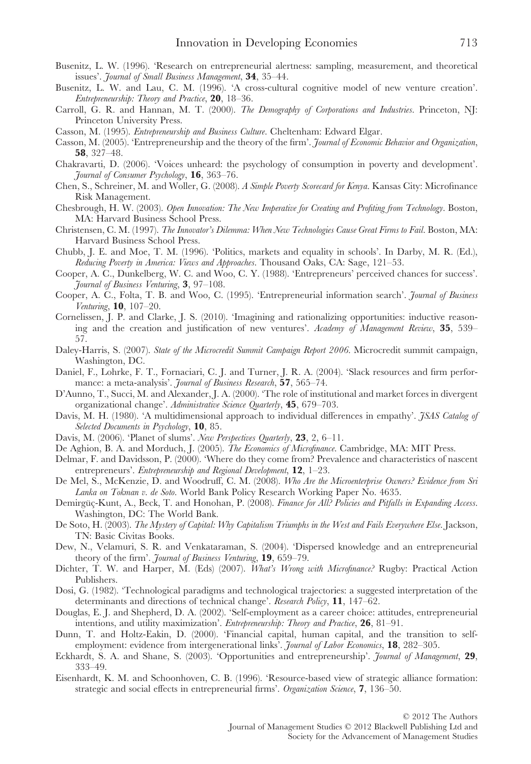- Busenitz, L. W. (1996). 'Research on entrepreneurial alertness: sampling, measurement, and theoretical issues'. *Journal of Small Business Management*, **34**, 35–44.
- Busenitz, L. W. and Lau, C. M. (1996). 'A cross-cultural cognitive model of new venture creation'. *Entrepreneurship: Theory and Practice*, **20**, 18–36.
- Carroll, G. R. and Hannan, M. T. (2000). *The Demography of Corporations and Industries*. Princeton, NJ: Princeton University Press.
- Casson, M. (1995). *Entrepreneurship and Business Culture*. Cheltenham: Edward Elgar.
- Casson, M. (2005). 'Entrepreneurship and the theory of the firm'. *Journal of Economic Behavior and Organization*, **58**, 327–48.
- Chakravarti, D. (2006). 'Voices unheard: the psychology of consumption in poverty and development'. *Journal of Consumer Psychology*, **16**, 363–76.
- Chen, S., Schreiner, M. and Woller, G. (2008). *A Simple Poverty Scorecard for Kenya*. Kansas City: Microfinance Risk Management.
- Chesbrough, H. W. (2003). *Open Innovation: The New Imperative for Creating and Profiting from Technology*. Boston, MA: Harvard Business School Press.
- Christensen, C. M. (1997). *The Innovator's Dilemma: When New Technologies Cause Great Firms to Fail*. Boston, MA: Harvard Business School Press.
- Chubb, J. E. and Moe, T. M. (1996). 'Politics, markets and equality in schools'. In Darby, M. R. (Ed.), *Reducing Poverty in America: Views and Approaches*. Thousand Oaks, CA: Sage, 121–53.
- Cooper, A. C., Dunkelberg, W. C. and Woo, C. Y. (1988). 'Entrepreneurs' perceived chances for success'. *Journal of Business Venturing*, **3**, 97–108.
- Cooper, A. C., Folta, T. B. and Woo, C. (1995). 'Entrepreneurial information search'. *Journal of Business Venturing*, **10**, 107–20.
- Cornelissen, J. P. and Clarke, J. S. (2010). 'Imagining and rationalizing opportunities: inductive reasoning and the creation and justification of new ventures'. *Academy of Management Review*, **35**, 539– 57.
- Daley-Harris, S. (2007). *State of the Microcredit Summit Campaign Report 2006*. Microcredit summit campaign, Washington, DC.
- Daniel, F., Lohrke, F. T., Fornaciari, C. J. and Turner, J. R. A. (2004). 'Slack resources and firm performance: a meta-analysis'. *Journal of Business Research*, **57**, 565–74.
- D'Aunno, T., Succi, M. and Alexander, J. A. (2000). 'The role of institutional and market forces in divergent organizational change'. *Administrative Science Quarterly*, **45**, 679–703.
- Davis, M. H. (1980). 'A multidimensional approach to individual differences in empathy'. *JSAS Catalog of Selected Documents in Psychology*, **10**, 85.
- Davis, M. (2006). 'Planet of slums'. *New Perspectives Quarterly*, **23**, 2, 6–11.
- De Aghion, B. A. and Morduch, J. (2005). *The Economics of Microfinance*. Cambridge, MA: MIT Press.
- Delmar, F. and Davidsson, P. (2000). 'Where do they come from? Prevalence and characteristics of nascent entrepreneurs'. *Entrepreneurship and Regional Development*, **12**, 1–23.
- De Mel, S., McKenzie, D. and Woodruff, C. M. (2008). *Who Are the Microenterprise Owners? Evidence from Sri Lanka on Tokman v. de Soto*. World Bank Policy Research Working Paper No. 4635.
- Demirgüç-Kunt, A., Beck, T. and Honohan, P. (2008). *Finance for All? Policies and Pitfalls in Expanding Access*. Washington, DC: The World Bank.
- De Soto, H. (2003). *The Mystery of Capital: Why Capitalism Triumphs in the West and Fails Everywhere Else*. Jackson, TN: Basic Civitas Books.
- Dew, N., Velamuri, S. R. and Venkataraman, S. (2004). 'Dispersed knowledge and an entrepreneurial theory of the firm'. *Journal of Business Venturing*, **19**, 659–79.
- Dichter, T. W. and Harper, M. (Eds) (2007). *What's Wrong with Microfinance?* Rugby: Practical Action Publishers.
- Dosi, G. (1982). 'Technological paradigms and technological trajectories: a suggested interpretation of the determinants and directions of technical change'. *Research Policy*, **11**, 147–62.
- Douglas, E. J. and Shepherd, D. A. (2002). 'Self-employment as a career choice: attitudes, entrepreneurial intentions, and utility maximization'. *Entrepreneurship: Theory and Practice*, **26**, 81–91.
- Dunn, T. and Holtz-Eakin, D. (2000). 'Financial capital, human capital, and the transition to selfemployment: evidence from intergenerational links'. *Journal of Labor Economics*, **18**, 282–305.
- Eckhardt, S. A. and Shane, S. (2003). 'Opportunities and entrepreneurship'. *Journal of Management*, **29**, 333–49.
- Eisenhardt, K. M. and Schoonhoven, C. B. (1996). 'Resource-based view of strategic alliance formation: strategic and social effects in entrepreneurial firms'. *Organization Science*, **7**, 136–50.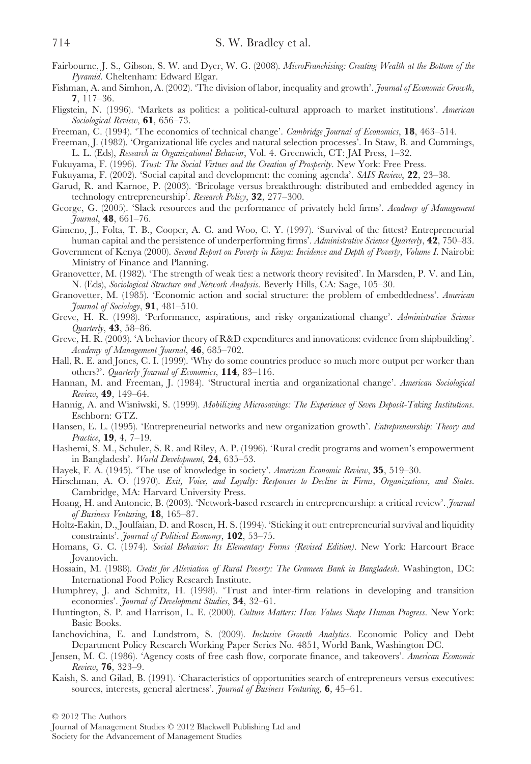- Fairbourne, J. S., Gibson, S. W. and Dyer, W. G. (2008). *MicroFranchising: Creating Wealth at the Bottom of the Pyramid*. Cheltenham: Edward Elgar.
- Fishman, A. and Simhon, A. (2002). 'The division of labor, inequality and growth'. *Journal of Economic Growth*, **7**, 117–36.
- Fligstein, N. (1996). 'Markets as politics: a political-cultural approach to market institutions'. *American Sociological Review*, **61**, 656–73.
- Freeman, C. (1994). 'The economics of technical change'. *Cambridge Journal of Economics*, **18**, 463–514.
- Freeman, J. (1982). 'Organizational life cycles and natural selection processes'. In Staw, B. and Cummings, L. L. (Eds), *Research in Organizational Behavior*, Vol. 4. Greenwich, CT: JAI Press, 1–32.
- Fukuyama, F. (1996). *Trust: The Social Virtues and the Creation of Prosperity*. New York: Free Press.
- Fukuyama, F. (2002). 'Social capital and development: the coming agenda'. *SAIS Review*, **22**, 23–38.
- Garud, R. and Karnoe, P. (2003). 'Bricolage versus breakthrough: distributed and embedded agency in technology entrepreneurship'. *Research Policy*, **32**, 277–300.
- George, G. (2005). 'Slack resources and the performance of privately held firms'. *Academy of Management Journal*, **48**, 661–76.
- Gimeno, J., Folta, T. B., Cooper, A. C. and Woo, C. Y. (1997). 'Survival of the fittest? Entrepreneurial human capital and the persistence of underperforming firms'. *Administrative Science Quarterly*, **42**, 750–83.
- Government of Kenya (2000). *Second Report on Poverty in Kenya: Incidence and Depth of Poverty, Volume I*. Nairobi: Ministry of Finance and Planning.
- Granovetter, M. (1982). 'The strength of weak ties: a network theory revisited'. In Marsden, P. V. and Lin, N. (Eds), *Sociological Structure and Network Analysis*. Beverly Hills, CA: Sage, 105–30.
- Granovetter, M. (1985). 'Economic action and social structure: the problem of embeddedness'. *American Journal of Sociology*, **91**, 481–510.
- Greve, H. R. (1998). 'Performance, aspirations, and risky organizational change'. *Administrative Science Quarterly*, **43**, 58–86.
- Greve, H. R. (2003). 'A behavior theory of R&D expenditures and innovations: evidence from shipbuilding'. *Academy of Management Journal*, **46**, 685–702.
- Hall, R. E. and Jones, C. I. (1999). 'Why do some countries produce so much more output per worker than others?'. *Quarterly Journal of Economics*, **114**, 83–116.
- Hannan, M. and Freeman, J. (1984). 'Structural inertia and organizational change'. *American Sociological Review*, **49**, 149–64.
- Hannig, A. and Wisniwski, S. (1999). *Mobilizing Microsavings: The Experience of Seven Deposit-Taking Institutions*. Eschborn: GTZ.
- Hansen, E. L. (1995). 'Entrepreneurial networks and new organization growth'. *Entrepreneurship: Theory and Practice*, **19**, 4, 7–19.
- Hashemi, S. M., Schuler, S. R. and Riley, A. P. (1996). 'Rural credit programs and women's empowerment in Bangladesh'. *World Development*, **24**, 635–53.
- Hayek, F. A. (1945). 'The use of knowledge in society'. *American Economic Review*, **35**, 519–30.
- Hirschman, A. O. (1970). *Exit, Voice, and Loyalty: Responses to Decline in Firms, Organizations, and States*. Cambridge, MA: Harvard University Press.
- Hoang, H. and Antoncic, B. (2003). 'Network-based research in entrepreneurship: a critical review'. *Journal of Business Venturing*, **18**, 165–87.
- Holtz-Eakin, D., Joulfaian, D. and Rosen, H. S. (1994). 'Sticking it out: entrepreneurial survival and liquidity constraints'. *Journal of Political Economy*, **102**, 53–75.
- Homans, G. C. (1974). *Social Behavior: Its Elementary Forms (Revised Edition)*. New York: Harcourt Brace Jovanovich.
- Hossain, M. (1988). *Credit for Alleviation of Rural Poverty: The Grameen Bank in Bangladesh*. Washington, DC: International Food Policy Research Institute.
- Humphrey, J. and Schmitz, H. (1998). 'Trust and inter-firm relations in developing and transition economies'. *Journal of Development Studies*, **34**, 32–61.
- Huntington, S. P. and Harrison, L. E. (2000). *Culture Matters: How Values Shape Human Progress*. New York: Basic Books.
- Ianchovichina, E. and Lundstrom, S. (2009). *Inclusive Growth Analytics*. Economic Policy and Debt Department Policy Research Working Paper Series No. 4851, World Bank, Washington DC.
- Jensen, M. C. (1986). 'Agency costs of free cash flow, corporate finance, and takeovers'. *American Economic Review*, **76**, 323–9.
- Kaish, S. and Gilad, B. (1991). 'Characteristics of opportunities search of entrepreneurs versus executives: sources, interests, general alertness'. *Journal of Business Venturing*, **6**, 45–61.

© 2012 The Authors

Journal of Management Studies © 2012 Blackwell Publishing Ltd and Society for the Advancement of Management Studies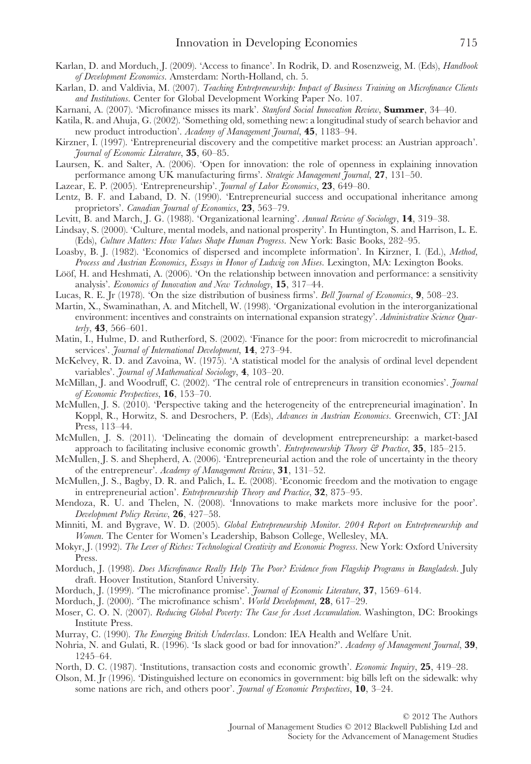- Karlan, D. and Morduch, J. (2009). 'Access to finance'. In Rodrik, D. and Rosenzweig, M. (Eds), *Handbook of Development Economics*. Amsterdam: North-Holland, ch. 5.
- Karlan, D. and Valdivia, M. (2007). *Teaching Entrepreneurship: Impact of Business Training on Microfinance Clients and Institutions*. Center for Global Development Working Paper No. 107.
- Karnani, A. (2007). 'Microfinance misses its mark'. *Stanford Social Innovation Review*, **Summer**, 34–40.
- Katila, R. and Ahuja, G. (2002). 'Something old, something new: a longitudinal study of search behavior and new product introduction'. *Academy of Management Journal*, **45**, 1183–94.
- Kirzner, I. (1997). 'Entrepreneurial discovery and the competitive market process: an Austrian approach'. *Journal of Economic Literature*, **35**, 60–85.
- Laursen, K. and Salter, A. (2006). 'Open for innovation: the role of openness in explaining innovation performance among UK manufacturing firms'. *Strategic Management Journal*, **27**, 131–50.
- Lazear, E. P. (2005). 'Entrepreneurship'. *Journal of Labor Economics*, **23**, 649–80.
- Lentz, B. F. and Laband, D. N. (1990). 'Entrepreneurial success and occupational inheritance among proprietors'. *Canadian Journal of Economics*, **23**, 563–79.
- Levitt, B. and March, J. G. (1988). 'Organizational learning'. *Annual Review of Sociology*, **14**, 319–38.
- Lindsay, S. (2000). 'Culture, mental models, and national prosperity'. In Huntington, S. and Harrison, L. E. (Eds), *Culture Matters: How Values Shape Human Progress*. New York: Basic Books, 282–95.
- Loasby, B. J. (1982). 'Economics of dispersed and incomplete information'. In Kirzner, I. (Ed.), *Method, Process and Austrian Economics, Essays in Honor of Ludwig von Mises*. Lexington, MA: Lexington Books.
- Lööf, H. and Heshmati, A. (2006). 'On the relationship between innovation and performance: a sensitivity analysis'. *Economics of Innovation and New Technology*, **15**, 317–44.
- Lucas, R. E. Jr (1978). 'On the size distribution of business firms'. *Bell Journal of Economics*, **9**, 508–23.
- Martin, X., Swaminathan, A. and Mitchell, W. (1998). 'Organizational evolution in the interorganizational environment: incentives and constraints on international expansion strategy'. *Administrative Science Quarterly*, **43**, 566–601.
- Matin, I., Hulme, D. and Rutherford, S. (2002). 'Finance for the poor: from microcredit to microfinancial services'. *Journal of International Development*, **14**, 273–94.
- McKelvey, R. D. and Zavoina, W. (1975). 'A statistical model for the analysis of ordinal level dependent variables'. *Journal of Mathematical Sociology*, **4**, 103–20.
- McMillan, J. and Woodruff, C. (2002). 'The central role of entrepreneurs in transition economies'. *Journal of Economic Perspectives*, **16**, 153–70.
- McMullen, J. S. (2010). 'Perspective taking and the heterogeneity of the entrepreneurial imagination'. In Koppl, R., Horwitz, S. and Desrochers, P. (Eds), *Advances in Austrian Economics*. Greenwich, CT: JAI Press, 113–44.
- McMullen, J. S. (2011). 'Delineating the domain of development entrepreneurship: a market-based approach to facilitating inclusive economic growth'. *Entrepreneurship Theory & Practice*, **35**, 185–215.
- McMullen, J. S. and Shepherd, A. (2006). 'Entrepreneurial action and the role of uncertainty in the theory of the entrepreneur'. *Academy of Management Review*, **31**, 131–52.
- McMullen, J. S., Bagby, D. R. and Palich, L. E. (2008). 'Economic freedom and the motivation to engage in entrepreneurial action'. *Entrepreneurship Theory and Practice*, **32**, 875–95.
- Mendoza, R. U. and Thelen, N. (2008). 'Innovations to make markets more inclusive for the poor'. *Development Policy Review*, **26**, 427–58.
- Minniti, M. and Bygrave, W. D. (2005). *Global Entrepreneurship Monitor. 2004 Report on Entrepreneurship and Women*. The Center for Women's Leadership, Babson College, Wellesley, MA.
- Mokyr, J. (1992). *The Lever of Riches: Technological Creativity and Economic Progress*. New York: Oxford University Press.
- Morduch, J. (1998). *Does Microfinance Really Help The Poor? Evidence from Flagship Programs in Bangladesh*. July draft. Hoover Institution, Stanford University.
- Morduch, J. (1999). 'The microfinance promise'. *Journal of Economic Literature*, **37**, 1569–614.
- Morduch, J. (2000). 'The microfinance schism'. *World Development*, **28**, 617–29.
- Moser, C. O. N. (2007). *Reducing Global Poverty: The Case for Asset Accumulation*. Washington, DC: Brookings Institute Press.
- Murray, C. (1990). *The Emerging British Underclass*. London: IEA Health and Welfare Unit.
- Nohria, N. and Gulati, R. (1996). 'Is slack good or bad for innovation?'. *Academy of Management Journal*, **39**, 1245–64.
- North, D. C. (1987). 'Institutions, transaction costs and economic growth'. *Economic Inquiry*, **25**, 419–28.
- Olson, M. Jr (1996). 'Distinguished lecture on economics in government: big bills left on the sidewalk: why some nations are rich, and others poor'. *Journal of Economic Perspectives*, **10**, 3–24.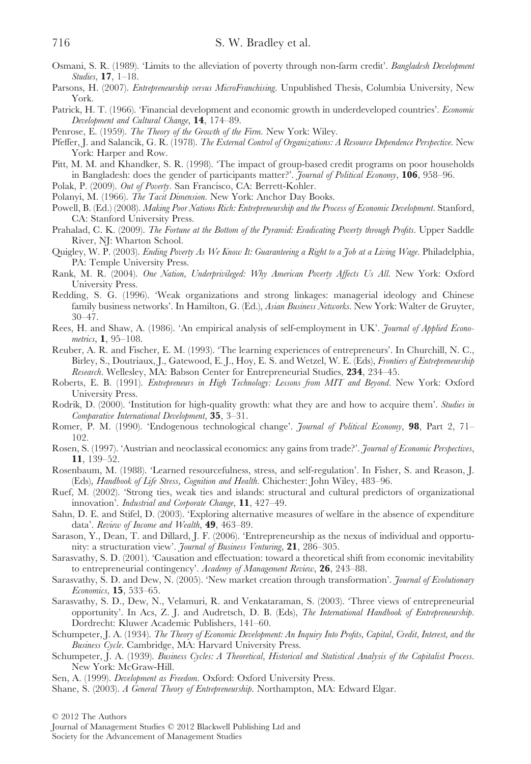- Osmani, S. R. (1989). 'Limits to the alleviation of poverty through non-farm credit'. *Bangladesh Development Studies*, **17**, 1–18.
- Parsons, H. (2007). *Entrepreneurship versus MicroFranchising*. Unpublished Thesis, Columbia University, New York.
- Patrick, H. T. (1966). 'Financial development and economic growth in underdeveloped countries'. *Economic Development and Cultural Change*, **14**, 174–89.
- Penrose, E. (1959). *The Theory of the Growth of the Firm*. New York: Wiley.
- Pfeffer, J. and Salancik, G. R. (1978). *The External Control of Organizations: A Resource Dependence Perspective*. New York: Harper and Row.
- Pitt, M. M. and Khandker, S. R. (1998). 'The impact of group-based credit programs on poor households in Bangladesh: does the gender of participants matter?'. *Journal of Political Economy*, **106**, 958–96.
- Polak, P. (2009). *Out of Poverty*. San Francisco, CA: Berrett-Kohler.
- Polanyi, M. (1966). *The Tacit Dimension*. New York: Anchor Day Books.
- Powell, B. (Ed.) (2008). *Making Poor Nations Rich: Entrepreneurship and the Process of Economic Development*. Stanford, CA: Stanford University Press.
- Prahalad, C. K. (2009). *The Fortune at the Bottom of the Pyramid: Eradicating Poverty through Profits*. Upper Saddle River, NJ: Wharton School.
- Quigley, W. P. (2003). *Ending Poverty As We Know It: Guaranteeing a Right to a Job at a Living Wage*. Philadelphia, PA: Temple University Press.
- Rank, M. R. (2004). *One Nation, Underprivileged: Why American Poverty Affects Us All*. New York: Oxford University Press.
- Redding, S. G. (1996). 'Weak organizations and strong linkages: managerial ideology and Chinese family business networks'. In Hamilton, G. (Ed.), *Asian Business Networks*. New York: Walter de Gruyter, 30–47.
- Rees, H. and Shaw, A. (1986). 'An empirical analysis of self-employment in UK'. *Journal of Applied Econometrics*, **1**, 95–108.
- Reuber, A. R. and Fischer, E. M. (1993). 'The learning experiences of entrepreneurs'. In Churchill, N. C., Birley, S., Doutriaux, J., Gatewood, E. J., Hoy, E. S. and Wetzel, W. E. (Eds), *Frontiers of Entrepreneurship Research*. Wellesley, MA: Babson Center for Entrepreneurial Studies, **234**, 234–45.
- Roberts, E. B. (1991). *Entrepreneurs in High Technology: Lessons from MIT and Beyond*. New York: Oxford University Press.
- Rodrik, D. (2000). 'Institution for high-quality growth: what they are and how to acquire them'. *Studies in Comparative International Development*, **35**, 3–31.
- Romer, P. M. (1990). 'Endogenous technological change'. *Journal of Political Economy*, **98**, Part 2, 71– 102.
- Rosen, S. (1997). 'Austrian and neoclassical economics: any gains from trade?'. *Journal of Economic Perspectives*, **11**, 139–52.
- Rosenbaum, M. (1988). 'Learned resourcefulness, stress, and self-regulation'. In Fisher, S. and Reason, J. (Eds), *Handbook of Life Stress, Cognition and Health*. Chichester: John Wiley, 483–96.
- Ruef, M. (2002). 'Strong ties, weak ties and islands: structural and cultural predictors of organizational innovation'. *Industrial and Corporate Change*, **11**, 427–49.
- Sahn, D. E. and Stifel, D. (2003). 'Exploring alternative measures of welfare in the absence of expenditure data'. *Review of Income and Wealth*, **49**, 463–89.
- Sarason, Y., Dean, T. and Dillard, J. F. (2006). 'Entrepreneurship as the nexus of individual and opportunity: a structuration view'. *Journal of Business Venturing*, **21**, 286–305.
- Sarasvathy, S. D. (2001). 'Causation and effectuation: toward a theoretical shift from economic inevitability to entrepreneurial contingency'. *Academy of Management Review*, **26**, 243–88.
- Sarasvathy, S. D. and Dew, N. (2005). 'New market creation through transformation'. *Journal of Evolutionary Economics*, **15**, 533–65.
- Sarasvathy, S. D., Dew, N., Velamuri, R. and Venkataraman, S. (2003). 'Three views of entrepreneurial opportunity'. In Acs, Z. J. and Audretsch, D. B. (Eds), *The International Handbook of Entrepreneurship*. Dordrecht: Kluwer Academic Publishers, 141–60.
- Schumpeter, J. A. (1934). *The Theory of Economic Development: An Inquiry Into Profits, Capital, Credit, Interest, and the Business Cycle*. Cambridge, MA: Harvard University Press.
- Schumpeter, J. A. (1939). *Business Cycles: A Theoretical, Historical and Statistical Analysis of the Capitalist Process*. New York: McGraw-Hill.
- Sen, A. (1999). *Development as Freedom*. Oxford: Oxford University Press.
- Shane, S. (2003). *A General Theory of Entrepreneurship*. Northampton, MA: Edward Elgar.

© 2012 The Authors

Journal of Management Studies © 2012 Blackwell Publishing Ltd and Society for the Advancement of Management Studies